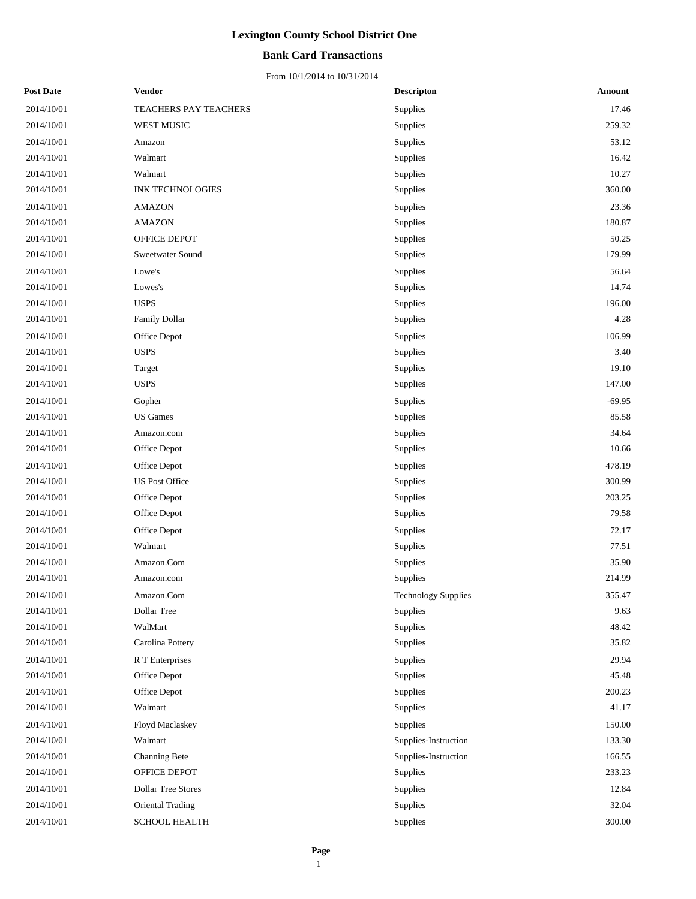#### **Bank Card Transactions**

| <b>Post Date</b> | Vendor                    | <b>Descripton</b>    | Amount   |
|------------------|---------------------------|----------------------|----------|
| 2014/10/01       | TEACHERS PAY TEACHERS     | Supplies             | 17.46    |
| 2014/10/01       | WEST MUSIC                | Supplies             | 259.32   |
| 2014/10/01       | Amazon                    | Supplies             | 53.12    |
| 2014/10/01       | Walmart                   | Supplies             | 16.42    |
| 2014/10/01       | Walmart                   | Supplies             | 10.27    |
| 2014/10/01       | <b>INK TECHNOLOGIES</b>   | Supplies             | 360.00   |
| 2014/10/01       | <b>AMAZON</b>             | Supplies             | 23.36    |
| 2014/10/01       | <b>AMAZON</b>             | Supplies             | 180.87   |
| 2014/10/01       | OFFICE DEPOT              | Supplies             | 50.25    |
| 2014/10/01       | Sweetwater Sound          | Supplies             | 179.99   |
| 2014/10/01       | Lowe's                    | Supplies             | 56.64    |
| 2014/10/01       | Lowes's                   | Supplies             | 14.74    |
| 2014/10/01       | <b>USPS</b>               | Supplies             | 196.00   |
| 2014/10/01       | Family Dollar             | Supplies             | 4.28     |
| 2014/10/01       | Office Depot              | Supplies             | 106.99   |
| 2014/10/01       | <b>USPS</b>               | Supplies             | 3.40     |
| 2014/10/01       | Target                    | Supplies             | 19.10    |
| 2014/10/01       | <b>USPS</b>               | Supplies             | 147.00   |
| 2014/10/01       | Gopher                    | Supplies             | $-69.95$ |
| 2014/10/01       | <b>US</b> Games           | Supplies             | 85.58    |
| 2014/10/01       | Amazon.com                | Supplies             | 34.64    |
| 2014/10/01       | Office Depot              | Supplies             | 10.66    |
| 2014/10/01       | Office Depot              | Supplies             | 478.19   |
| 2014/10/01       | <b>US Post Office</b>     | Supplies             | 300.99   |
| 2014/10/01       | Office Depot              | Supplies             | 203.25   |
| 2014/10/01       | Office Depot              | Supplies             | 79.58    |
| 2014/10/01       | Office Depot              | Supplies             | 72.17    |
| 2014/10/01       | Walmart                   | Supplies             | 77.51    |
| 2014/10/01       | Amazon.Com                | Supplies             | 35.90    |
| 2014/10/01       | Amazon.com                | Supplies             | 214.99   |
| 2014/10/01       | Amazon.Com                | Technology Supplies  | 355.47   |
| 2014/10/01       | Dollar Tree               | Supplies             | 9.63     |
| 2014/10/01       | WalMart                   | Supplies             | 48.42    |
| 2014/10/01       | Carolina Pottery          | Supplies             | 35.82    |
| 2014/10/01       | R T Enterprises           | Supplies             | 29.94    |
| 2014/10/01       | Office Depot              | Supplies             | 45.48    |
| 2014/10/01       | Office Depot              | Supplies             | 200.23   |
| 2014/10/01       | Walmart                   | Supplies             | 41.17    |
| 2014/10/01       | Floyd Maclaskey           | Supplies             | 150.00   |
| 2014/10/01       | Walmart                   | Supplies-Instruction | 133.30   |
| 2014/10/01       | Channing Bete             | Supplies-Instruction | 166.55   |
| 2014/10/01       | OFFICE DEPOT              | Supplies             | 233.23   |
| 2014/10/01       | <b>Dollar Tree Stores</b> | Supplies             | 12.84    |
| 2014/10/01       | Oriental Trading          | Supplies             | 32.04    |
| 2014/10/01       | <b>SCHOOL HEALTH</b>      | Supplies             | 300.00   |
|                  |                           |                      |          |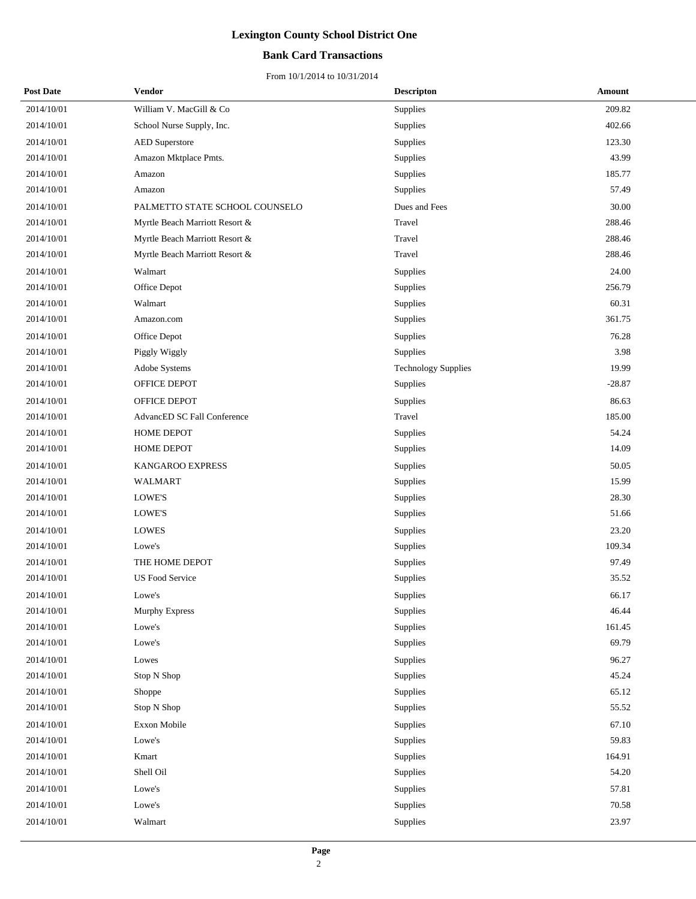#### **Bank Card Transactions**

| <b>Post Date</b> | Vendor                         | <b>Descripton</b>          | Amount   |
|------------------|--------------------------------|----------------------------|----------|
| 2014/10/01       | William V. MacGill & Co        | Supplies                   | 209.82   |
| 2014/10/01       | School Nurse Supply, Inc.      | Supplies                   | 402.66   |
| 2014/10/01       | <b>AED</b> Superstore          | Supplies                   | 123.30   |
| 2014/10/01       | Amazon Mktplace Pmts.          | Supplies                   | 43.99    |
| 2014/10/01       | Amazon                         | Supplies                   | 185.77   |
| 2014/10/01       | Amazon                         | Supplies                   | 57.49    |
| 2014/10/01       | PALMETTO STATE SCHOOL COUNSELO | Dues and Fees              | 30.00    |
| 2014/10/01       | Myrtle Beach Marriott Resort & | Travel                     | 288.46   |
| 2014/10/01       | Myrtle Beach Marriott Resort & | Travel                     | 288.46   |
| 2014/10/01       | Myrtle Beach Marriott Resort & | Travel                     | 288.46   |
| 2014/10/01       | Walmart                        | Supplies                   | 24.00    |
| 2014/10/01       | Office Depot                   | Supplies                   | 256.79   |
| 2014/10/01       | Walmart                        | Supplies                   | 60.31    |
| 2014/10/01       | Amazon.com                     | Supplies                   | 361.75   |
| 2014/10/01       | Office Depot                   | Supplies                   | 76.28    |
| 2014/10/01       | Piggly Wiggly                  | Supplies                   | 3.98     |
| 2014/10/01       | Adobe Systems                  | <b>Technology Supplies</b> | 19.99    |
| 2014/10/01       | OFFICE DEPOT                   | Supplies                   | $-28.87$ |
| 2014/10/01       | OFFICE DEPOT                   | Supplies                   | 86.63    |
| 2014/10/01       | AdvancED SC Fall Conference    | Travel                     | 185.00   |
| 2014/10/01       | HOME DEPOT                     | Supplies                   | 54.24    |
| 2014/10/01       | <b>HOME DEPOT</b>              | Supplies                   | 14.09    |
| 2014/10/01       | KANGAROO EXPRESS               | Supplies                   | 50.05    |
| 2014/10/01       | WALMART                        | Supplies                   | 15.99    |
| 2014/10/01       | LOWE'S                         | Supplies                   | 28.30    |
| 2014/10/01       | LOWE'S                         | Supplies                   | 51.66    |
| 2014/10/01       | <b>LOWES</b>                   | Supplies                   | 23.20    |
| 2014/10/01       | Lowe's                         | Supplies                   | 109.34   |
| 2014/10/01       | THE HOME DEPOT                 | Supplies                   | 97.49    |
| 2014/10/01       | <b>US Food Service</b>         | Supplies                   | 35.52    |
| 2014/10/01       | Lowe's                         | Supplies                   | 66.17    |
| 2014/10/01       | <b>Murphy Express</b>          | Supplies                   | 46.44    |
| 2014/10/01       | Lowe's                         | Supplies                   | 161.45   |
| 2014/10/01       | Lowe's                         | Supplies                   | 69.79    |
| 2014/10/01       | Lowes                          | Supplies                   | 96.27    |
| 2014/10/01       | Stop N Shop                    | Supplies                   | 45.24    |
| 2014/10/01       | Shoppe                         | Supplies                   | 65.12    |
| 2014/10/01       | Stop N Shop                    | Supplies                   | 55.52    |
| 2014/10/01       | Exxon Mobile                   | Supplies                   | 67.10    |
| 2014/10/01       | Lowe's                         | Supplies                   | 59.83    |
| 2014/10/01       | Kmart                          | Supplies                   | 164.91   |
| 2014/10/01       | Shell Oil                      | Supplies                   | 54.20    |
| 2014/10/01       | Lowe's                         | Supplies                   | 57.81    |
| 2014/10/01       | Lowe's                         | Supplies                   | 70.58    |
| 2014/10/01       | Walmart                        | Supplies                   | 23.97    |
|                  |                                |                            |          |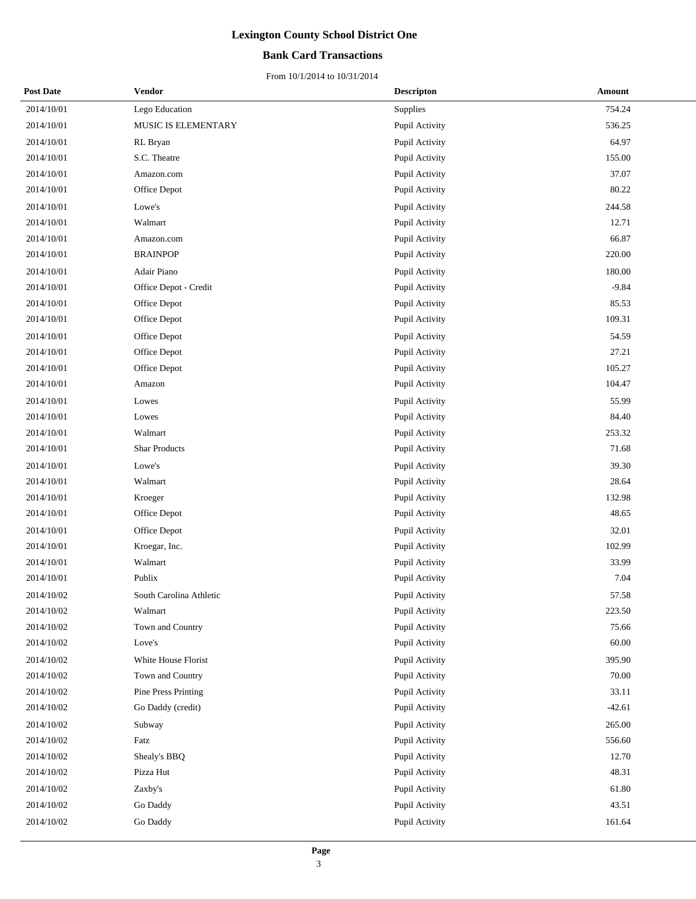#### **Bank Card Transactions**

| <b>Post Date</b> | Vendor                  | <b>Descripton</b> | Amount   |
|------------------|-------------------------|-------------------|----------|
| 2014/10/01       | Lego Education          | Supplies          | 754.24   |
| 2014/10/01       | MUSIC IS ELEMENTARY     | Pupil Activity    | 536.25   |
| 2014/10/01       | RL Bryan                | Pupil Activity    | 64.97    |
| 2014/10/01       | S.C. Theatre            | Pupil Activity    | 155.00   |
| 2014/10/01       | Amazon.com              | Pupil Activity    | 37.07    |
| 2014/10/01       | Office Depot            | Pupil Activity    | 80.22    |
| 2014/10/01       | Lowe's                  | Pupil Activity    | 244.58   |
| 2014/10/01       | Walmart                 | Pupil Activity    | 12.71    |
| 2014/10/01       | Amazon.com              | Pupil Activity    | 66.87    |
| 2014/10/01       | <b>BRAINPOP</b>         | Pupil Activity    | 220.00   |
| 2014/10/01       | Adair Piano             | Pupil Activity    | 180.00   |
| 2014/10/01       | Office Depot - Credit   | Pupil Activity    | $-9.84$  |
| 2014/10/01       | Office Depot            | Pupil Activity    | 85.53    |
| 2014/10/01       | Office Depot            | Pupil Activity    | 109.31   |
| 2014/10/01       | Office Depot            | Pupil Activity    | 54.59    |
| 2014/10/01       | Office Depot            | Pupil Activity    | 27.21    |
| 2014/10/01       | Office Depot            | Pupil Activity    | 105.27   |
| 2014/10/01       | Amazon                  | Pupil Activity    | 104.47   |
| 2014/10/01       | Lowes                   | Pupil Activity    | 55.99    |
| 2014/10/01       | Lowes                   | Pupil Activity    | 84.40    |
| 2014/10/01       | Walmart                 | Pupil Activity    | 253.32   |
| 2014/10/01       | <b>Shar Products</b>    | Pupil Activity    | 71.68    |
| 2014/10/01       | Lowe's                  | Pupil Activity    | 39.30    |
| 2014/10/01       | Walmart                 | Pupil Activity    | 28.64    |
| 2014/10/01       | Kroeger                 | Pupil Activity    | 132.98   |
| 2014/10/01       | Office Depot            | Pupil Activity    | 48.65    |
| 2014/10/01       | Office Depot            | Pupil Activity    | 32.01    |
| 2014/10/01       | Kroegar, Inc.           | Pupil Activity    | 102.99   |
| 2014/10/01       | Walmart                 | Pupil Activity    | 33.99    |
| 2014/10/01       | Publix                  | Pupil Activity    | 7.04     |
| 2014/10/02       | South Carolina Athletic | Pupil Activity    | 57.58    |
| 2014/10/02       | Walmart                 | Pupil Activity    | 223.50   |
| 2014/10/02       | Town and Country        | Pupil Activity    | 75.66    |
| 2014/10/02       | Love's                  | Pupil Activity    | 60.00    |
| 2014/10/02       | White House Florist     | Pupil Activity    | 395.90   |
| 2014/10/02       | Town and Country        | Pupil Activity    | 70.00    |
| 2014/10/02       | Pine Press Printing     | Pupil Activity    | 33.11    |
| 2014/10/02       | Go Daddy (credit)       | Pupil Activity    | $-42.61$ |
| 2014/10/02       | Subway                  | Pupil Activity    | 265.00   |
| 2014/10/02       | Fatz                    | Pupil Activity    | 556.60   |
| 2014/10/02       | Shealy's BBQ            | Pupil Activity    | 12.70    |
| 2014/10/02       | Pizza Hut               | Pupil Activity    | 48.31    |
| 2014/10/02       | Zaxby's                 | Pupil Activity    | 61.80    |
| 2014/10/02       | Go Daddy                | Pupil Activity    | 43.51    |
| 2014/10/02       | Go Daddy                | Pupil Activity    | 161.64   |
|                  |                         |                   |          |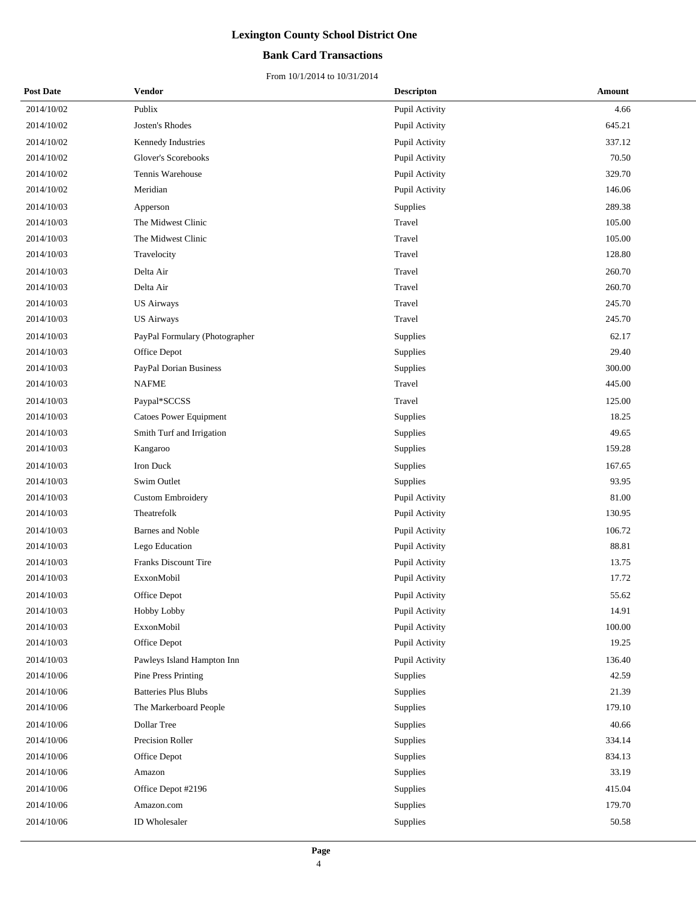#### **Bank Card Transactions**

| <b>Post Date</b> | Vendor                         | <b>Descripton</b> | Amount |
|------------------|--------------------------------|-------------------|--------|
| 2014/10/02       | Publix                         | Pupil Activity    | 4.66   |
| 2014/10/02       | Josten's Rhodes                | Pupil Activity    | 645.21 |
| 2014/10/02       | Kennedy Industries             | Pupil Activity    | 337.12 |
| 2014/10/02       | Glover's Scorebooks            | Pupil Activity    | 70.50  |
| 2014/10/02       | Tennis Warehouse               | Pupil Activity    | 329.70 |
| 2014/10/02       | Meridian                       | Pupil Activity    | 146.06 |
| 2014/10/03       | Apperson                       | Supplies          | 289.38 |
| 2014/10/03       | The Midwest Clinic             | Travel            | 105.00 |
| 2014/10/03       | The Midwest Clinic             | Travel            | 105.00 |
| 2014/10/03       | Travelocity                    | Travel            | 128.80 |
| 2014/10/03       | Delta Air                      | Travel            | 260.70 |
| 2014/10/03       | Delta Air                      | Travel            | 260.70 |
| 2014/10/03       | <b>US Airways</b>              | Travel            | 245.70 |
| 2014/10/03       | <b>US Airways</b>              | Travel            | 245.70 |
| 2014/10/03       | PayPal Formulary (Photographer | Supplies          | 62.17  |
| 2014/10/03       | Office Depot                   | Supplies          | 29.40  |
| 2014/10/03       | PayPal Dorian Business         | Supplies          | 300.00 |
| 2014/10/03       | <b>NAFME</b>                   | Travel            | 445.00 |
| 2014/10/03       | Paypal*SCCSS                   | Travel            | 125.00 |
| 2014/10/03       | <b>Catoes Power Equipment</b>  | Supplies          | 18.25  |
| 2014/10/03       | Smith Turf and Irrigation      | Supplies          | 49.65  |
| 2014/10/03       | Kangaroo                       | Supplies          | 159.28 |
| 2014/10/03       | Iron Duck                      | Supplies          | 167.65 |
| 2014/10/03       | Swim Outlet                    | Supplies          | 93.95  |
| 2014/10/03       | <b>Custom Embroidery</b>       | Pupil Activity    | 81.00  |
| 2014/10/03       | Theatrefolk                    | Pupil Activity    | 130.95 |
| 2014/10/03       | Barnes and Noble               | Pupil Activity    | 106.72 |
| 2014/10/03       | Lego Education                 | Pupil Activity    | 88.81  |
| 2014/10/03       | Franks Discount Tire           | Pupil Activity    | 13.75  |
| 2014/10/03       | ExxonMobil                     | Pupil Activity    | 17.72  |
| 2014/10/03       | Office Depot                   | Pupil Activity    | 55.62  |
| 2014/10/03       | Hobby Lobby                    | Pupil Activity    | 14.91  |
| 2014/10/03       | ExxonMobil                     | Pupil Activity    | 100.00 |
| 2014/10/03       | Office Depot                   | Pupil Activity    | 19.25  |
| 2014/10/03       | Pawleys Island Hampton Inn     | Pupil Activity    | 136.40 |
| 2014/10/06       | <b>Pine Press Printing</b>     | Supplies          | 42.59  |
| 2014/10/06       | <b>Batteries Plus Blubs</b>    | Supplies          | 21.39  |
| 2014/10/06       | The Markerboard People         | Supplies          | 179.10 |
| 2014/10/06       | Dollar Tree                    | Supplies          | 40.66  |
| 2014/10/06       | Precision Roller               | Supplies          | 334.14 |
| 2014/10/06       | Office Depot                   | Supplies          | 834.13 |
| 2014/10/06       | Amazon                         | Supplies          | 33.19  |
| 2014/10/06       | Office Depot #2196             | Supplies          | 415.04 |
| 2014/10/06       | Amazon.com                     | Supplies          | 179.70 |
| 2014/10/06       | ID Wholesaler                  | Supplies          | 50.58  |
|                  |                                |                   |        |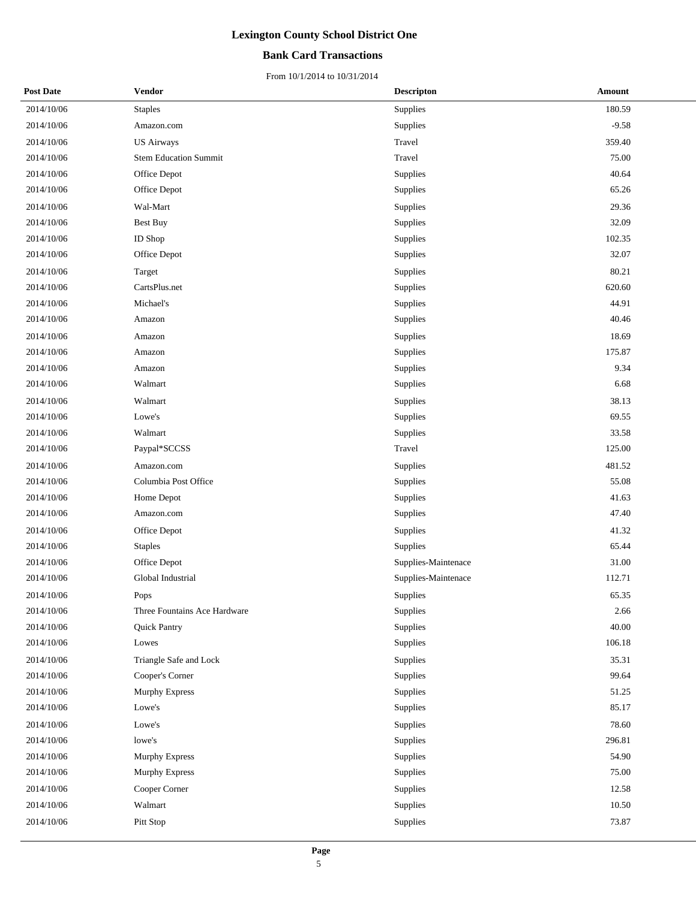#### **Bank Card Transactions**

| <b>Post Date</b> | Vendor                       | <b>Descripton</b>   | Amount  |
|------------------|------------------------------|---------------------|---------|
| 2014/10/06       | <b>Staples</b>               | Supplies            | 180.59  |
| 2014/10/06       | Amazon.com                   | Supplies            | $-9.58$ |
| 2014/10/06       | <b>US Airways</b>            | Travel              | 359.40  |
| 2014/10/06       | <b>Stem Education Summit</b> | Travel              | 75.00   |
| 2014/10/06       | Office Depot                 | Supplies            | 40.64   |
| 2014/10/06       | Office Depot                 | Supplies            | 65.26   |
| 2014/10/06       | Wal-Mart                     | Supplies            | 29.36   |
| 2014/10/06       | <b>Best Buy</b>              | Supplies            | 32.09   |
| 2014/10/06       | ID Shop                      | Supplies            | 102.35  |
| 2014/10/06       | Office Depot                 | Supplies            | 32.07   |
| 2014/10/06       | Target                       | Supplies            | 80.21   |
| 2014/10/06       | CartsPlus.net                | Supplies            | 620.60  |
| 2014/10/06       | Michael's                    | Supplies            | 44.91   |
| 2014/10/06       | Amazon                       | Supplies            | 40.46   |
| 2014/10/06       | Amazon                       | Supplies            | 18.69   |
| 2014/10/06       | Amazon                       | Supplies            | 175.87  |
| 2014/10/06       | Amazon                       | Supplies            | 9.34    |
| 2014/10/06       | Walmart                      | Supplies            | 6.68    |
| 2014/10/06       | Walmart                      | Supplies            | 38.13   |
| 2014/10/06       | Lowe's                       | Supplies            | 69.55   |
| 2014/10/06       | Walmart                      | Supplies            | 33.58   |
| 2014/10/06       | Paypal*SCCSS                 | Travel              | 125.00  |
| 2014/10/06       | Amazon.com                   | Supplies            | 481.52  |
| 2014/10/06       | Columbia Post Office         | Supplies            | 55.08   |
| 2014/10/06       | Home Depot                   | Supplies            | 41.63   |
| 2014/10/06       | Amazon.com                   | Supplies            | 47.40   |
| 2014/10/06       | Office Depot                 | Supplies            | 41.32   |
| 2014/10/06       | <b>Staples</b>               | Supplies            | 65.44   |
| 2014/10/06       | Office Depot                 | Supplies-Maintenace | 31.00   |
| 2014/10/06       | Global Industrial            | Supplies-Maintenace | 112.71  |
| 2014/10/06       | Pops                         | Supplies            | 65.35   |
| 2014/10/06       | Three Fountains Ace Hardware | Supplies            | 2.66    |
| 2014/10/06       | Quick Pantry                 | Supplies            | 40.00   |
| 2014/10/06       | Lowes                        | Supplies            | 106.18  |
| 2014/10/06       | Triangle Safe and Lock       | Supplies            | 35.31   |
| 2014/10/06       | Cooper's Corner              | Supplies            | 99.64   |
| 2014/10/06       | Murphy Express               | Supplies            | 51.25   |
| 2014/10/06       | Lowe's                       | Supplies            | 85.17   |
| 2014/10/06       | Lowe's                       | Supplies            | 78.60   |
| 2014/10/06       | lowe's                       | Supplies            | 296.81  |
| 2014/10/06       | Murphy Express               | Supplies            | 54.90   |
| 2014/10/06       | Murphy Express               | Supplies            | 75.00   |
| 2014/10/06       | Cooper Corner                | Supplies            | 12.58   |
| 2014/10/06       | Walmart                      | Supplies            | 10.50   |
| 2014/10/06       | Pitt Stop                    | Supplies            | 73.87   |
|                  |                              |                     |         |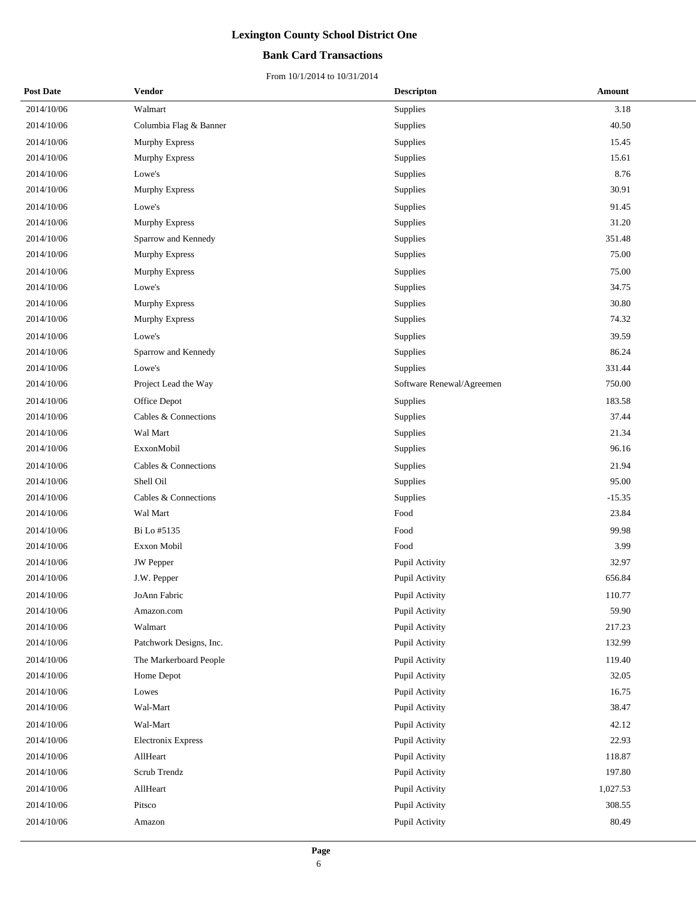#### **Bank Card Transactions**

| <b>Post Date</b> | Vendor                  | <b>Descripton</b>         | Amount   |
|------------------|-------------------------|---------------------------|----------|
| 2014/10/06       | Walmart                 | Supplies                  | 3.18     |
| 2014/10/06       | Columbia Flag & Banner  | Supplies                  | 40.50    |
| 2014/10/06       | <b>Murphy Express</b>   | Supplies                  | 15.45    |
| 2014/10/06       | Murphy Express          | Supplies                  | 15.61    |
| 2014/10/06       | Lowe's                  | Supplies                  | 8.76     |
| 2014/10/06       | Murphy Express          | Supplies                  | 30.91    |
| 2014/10/06       | Lowe's                  | Supplies                  | 91.45    |
| 2014/10/06       | Murphy Express          | Supplies                  | 31.20    |
| 2014/10/06       | Sparrow and Kennedy     | Supplies                  | 351.48   |
| 2014/10/06       | Murphy Express          | Supplies                  | 75.00    |
| 2014/10/06       | <b>Murphy Express</b>   | Supplies                  | 75.00    |
| 2014/10/06       | Lowe's                  | Supplies                  | 34.75    |
| 2014/10/06       | Murphy Express          | Supplies                  | 30.80    |
| 2014/10/06       | Murphy Express          | Supplies                  | 74.32    |
| 2014/10/06       | Lowe's                  | Supplies                  | 39.59    |
| 2014/10/06       | Sparrow and Kennedy     | Supplies                  | 86.24    |
| 2014/10/06       | Lowe's                  | <b>Supplies</b>           | 331.44   |
| 2014/10/06       | Project Lead the Way    | Software Renewal/Agreemen | 750.00   |
| 2014/10/06       | Office Depot            | Supplies                  | 183.58   |
| 2014/10/06       | Cables & Connections    | Supplies                  | 37.44    |
| 2014/10/06       | Wal Mart                | Supplies                  | 21.34    |
| 2014/10/06       | ExxonMobil              | Supplies                  | 96.16    |
| 2014/10/06       | Cables & Connections    | Supplies                  | 21.94    |
| 2014/10/06       | Shell Oil               | Supplies                  | 95.00    |
| 2014/10/06       | Cables & Connections    | Supplies                  | $-15.35$ |
| 2014/10/06       | Wal Mart                | Food                      | 23.84    |
| 2014/10/06       | Bi Lo #5135             | Food                      | 99.98    |
| 2014/10/06       | Exxon Mobil             | Food                      | 3.99     |
| 2014/10/06       | JW Pepper               | Pupil Activity            | 32.97    |
| 2014/10/06       | J.W. Pepper             | Pupil Activity            | 656.84   |
| 2014/10/06       | JoAnn Fabric            | Pupil Activity            | 110.77   |
| 2014/10/06       | Amazon.com              | Pupil Activity            | 59.90    |
| 2014/10/06       | Walmart                 | Pupil Activity            | 217.23   |
| 2014/10/06       | Patchwork Designs, Inc. | Pupil Activity            | 132.99   |
| 2014/10/06       | The Markerboard People  | Pupil Activity            | 119.40   |
| 2014/10/06       | Home Depot              | Pupil Activity            | 32.05    |
| 2014/10/06       | Lowes                   | Pupil Activity            | 16.75    |
| 2014/10/06       | Wal-Mart                | Pupil Activity            | 38.47    |
| 2014/10/06       | Wal-Mart                | Pupil Activity            | 42.12    |
| 2014/10/06       | Electronix Express      | Pupil Activity            | 22.93    |
| 2014/10/06       | AllHeart                | Pupil Activity            | 118.87   |
| 2014/10/06       | Scrub Trendz            | Pupil Activity            | 197.80   |
| 2014/10/06       | AllHeart                | Pupil Activity            | 1,027.53 |
| 2014/10/06       | Pitsco                  | Pupil Activity            | 308.55   |
| 2014/10/06       | Amazon                  | Pupil Activity            | 80.49    |
|                  |                         |                           |          |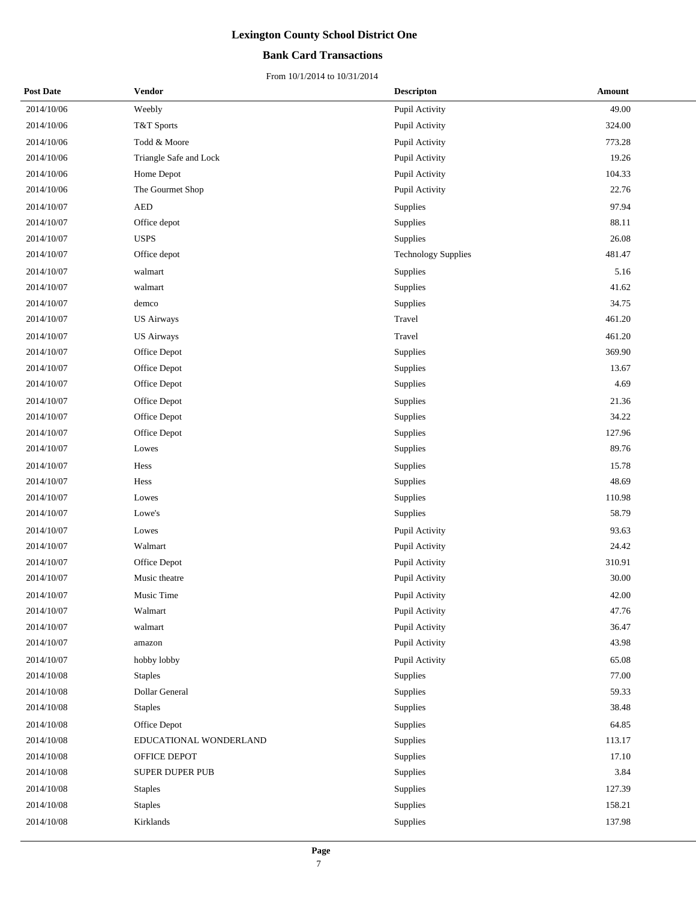#### **Bank Card Transactions**

| <b>Post Date</b> | Vendor                 | <b>Descripton</b>          | <b>Amount</b> |
|------------------|------------------------|----------------------------|---------------|
| 2014/10/06       | Weebly                 | Pupil Activity             | 49.00         |
| 2014/10/06       | T&T Sports             | Pupil Activity             | 324.00        |
| 2014/10/06       | Todd & Moore           | Pupil Activity             | 773.28        |
| 2014/10/06       | Triangle Safe and Lock | Pupil Activity             | 19.26         |
| 2014/10/06       | Home Depot             | Pupil Activity             | 104.33        |
| 2014/10/06       | The Gourmet Shop       | Pupil Activity             | 22.76         |
| 2014/10/07       | <b>AED</b>             | Supplies                   | 97.94         |
| 2014/10/07       | Office depot           | Supplies                   | 88.11         |
| 2014/10/07       | <b>USPS</b>            | Supplies                   | 26.08         |
| 2014/10/07       | Office depot           | <b>Technology Supplies</b> | 481.47        |
| 2014/10/07       | walmart                | Supplies                   | 5.16          |
| 2014/10/07       | walmart                | Supplies                   | 41.62         |
| 2014/10/07       | demco                  | Supplies                   | 34.75         |
| 2014/10/07       | <b>US Airways</b>      | Travel                     | 461.20        |
| 2014/10/07       | <b>US Airways</b>      | Travel                     | 461.20        |
| 2014/10/07       | Office Depot           | Supplies                   | 369.90        |
| 2014/10/07       | Office Depot           | Supplies                   | 13.67         |
| 2014/10/07       | Office Depot           | Supplies                   | 4.69          |
| 2014/10/07       | Office Depot           | Supplies                   | 21.36         |
| 2014/10/07       | Office Depot           | Supplies                   | 34.22         |
| 2014/10/07       | Office Depot           | Supplies                   | 127.96        |
| 2014/10/07       | Lowes                  | Supplies                   | 89.76         |
| 2014/10/07       | Hess                   | Supplies                   | 15.78         |
| 2014/10/07       | Hess                   | Supplies                   | 48.69         |
| 2014/10/07       | Lowes                  | Supplies                   | 110.98        |
| 2014/10/07       | Lowe's                 | Supplies                   | 58.79         |
| 2014/10/07       | Lowes                  | Pupil Activity             | 93.63         |
| 2014/10/07       | Walmart                | Pupil Activity             | 24.42         |
| 2014/10/07       | Office Depot           | Pupil Activity             | 310.91        |
| 2014/10/07       | Music theatre          | Pupil Activity             | 30.00         |
| 2014/10/07       | Music Time             | Pupil Activity             | 42.00         |
| 2014/10/07       | Walmart                | Pupil Activity             | 47.76         |
| 2014/10/07       | walmart                | Pupil Activity             | 36.47         |
| 2014/10/07       | amazon                 | Pupil Activity             | 43.98         |
| 2014/10/07       | hobby lobby            | Pupil Activity             | 65.08         |
| 2014/10/08       | <b>Staples</b>         | Supplies                   | 77.00         |
| 2014/10/08       | Dollar General         | Supplies                   | 59.33         |
| 2014/10/08       | <b>Staples</b>         | Supplies                   | 38.48         |
| 2014/10/08       | Office Depot           | Supplies                   | 64.85         |
| 2014/10/08       | EDUCATIONAL WONDERLAND | Supplies                   | 113.17        |
| 2014/10/08       | OFFICE DEPOT           | Supplies                   | 17.10         |
| 2014/10/08       | SUPER DUPER PUB        | Supplies                   | 3.84          |
| 2014/10/08       | <b>Staples</b>         | Supplies                   | 127.39        |
| 2014/10/08       | <b>Staples</b>         | Supplies                   | 158.21        |
| 2014/10/08       | Kirklands              | Supplies                   | 137.98        |
|                  |                        |                            |               |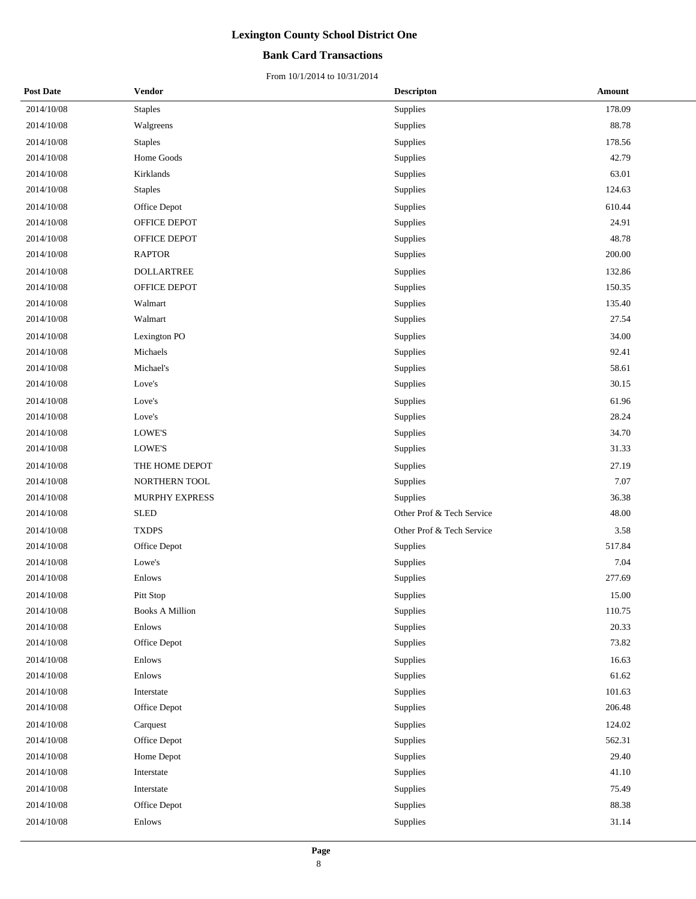#### **Bank Card Transactions**

| <b>Post Date</b> | Vendor                 | <b>Descripton</b>         | Amount |
|------------------|------------------------|---------------------------|--------|
| 2014/10/08       | <b>Staples</b>         | Supplies                  | 178.09 |
| 2014/10/08       | Walgreens              | Supplies                  | 88.78  |
| 2014/10/08       | <b>Staples</b>         | Supplies                  | 178.56 |
| 2014/10/08       | Home Goods             | Supplies                  | 42.79  |
| 2014/10/08       | Kirklands              | Supplies                  | 63.01  |
| 2014/10/08       | <b>Staples</b>         | Supplies                  | 124.63 |
| 2014/10/08       | Office Depot           | Supplies                  | 610.44 |
| 2014/10/08       | OFFICE DEPOT           | Supplies                  | 24.91  |
| 2014/10/08       | OFFICE DEPOT           | Supplies                  | 48.78  |
| 2014/10/08       | <b>RAPTOR</b>          | Supplies                  | 200.00 |
| 2014/10/08       | <b>DOLLARTREE</b>      | Supplies                  | 132.86 |
| 2014/10/08       | OFFICE DEPOT           | Supplies                  | 150.35 |
| 2014/10/08       | Walmart                | Supplies                  | 135.40 |
| 2014/10/08       | Walmart                | Supplies                  | 27.54  |
| 2014/10/08       | Lexington PO           | Supplies                  | 34.00  |
| 2014/10/08       | Michaels               | Supplies                  | 92.41  |
| 2014/10/08       | Michael's              | Supplies                  | 58.61  |
| 2014/10/08       | Love's                 | Supplies                  | 30.15  |
| 2014/10/08       | Love's                 | Supplies                  | 61.96  |
| 2014/10/08       | Love's                 | Supplies                  | 28.24  |
| 2014/10/08       | LOWE'S                 | Supplies                  | 34.70  |
| 2014/10/08       | LOWE'S                 | Supplies                  | 31.33  |
| 2014/10/08       | THE HOME DEPOT         | Supplies                  | 27.19  |
| 2014/10/08       | NORTHERN TOOL          | Supplies                  | 7.07   |
| 2014/10/08       | MURPHY EXPRESS         | Supplies                  | 36.38  |
| 2014/10/08       | <b>SLED</b>            | Other Prof & Tech Service | 48.00  |
| 2014/10/08       | <b>TXDPS</b>           | Other Prof & Tech Service | 3.58   |
| 2014/10/08       | Office Depot           | Supplies                  | 517.84 |
| 2014/10/08       | Lowe's                 | Supplies                  | 7.04   |
| 2014/10/08       | Enlows                 | Supplies                  | 277.69 |
| 2014/10/08       | Pitt Stop              | Supplies                  | 15.00  |
| 2014/10/08       | <b>Books A Million</b> | Supplies                  | 110.75 |
| 2014/10/08       | Enlows                 | Supplies                  | 20.33  |
| 2014/10/08       | Office Depot           | Supplies                  | 73.82  |
| 2014/10/08       | Enlows                 | Supplies                  | 16.63  |
| 2014/10/08       | Enlows                 | Supplies                  | 61.62  |
| 2014/10/08       | Interstate             | Supplies                  | 101.63 |
| 2014/10/08       | Office Depot           | Supplies                  | 206.48 |
| 2014/10/08       | Carquest               | Supplies                  | 124.02 |
| 2014/10/08       | Office Depot           | Supplies                  | 562.31 |
| 2014/10/08       | Home Depot             | Supplies                  | 29.40  |
| 2014/10/08       | Interstate             | Supplies                  | 41.10  |
| 2014/10/08       | Interstate             | Supplies                  | 75.49  |
| 2014/10/08       | Office Depot           | Supplies                  | 88.38  |
| 2014/10/08       | Enlows                 | Supplies                  | 31.14  |
|                  |                        |                           |        |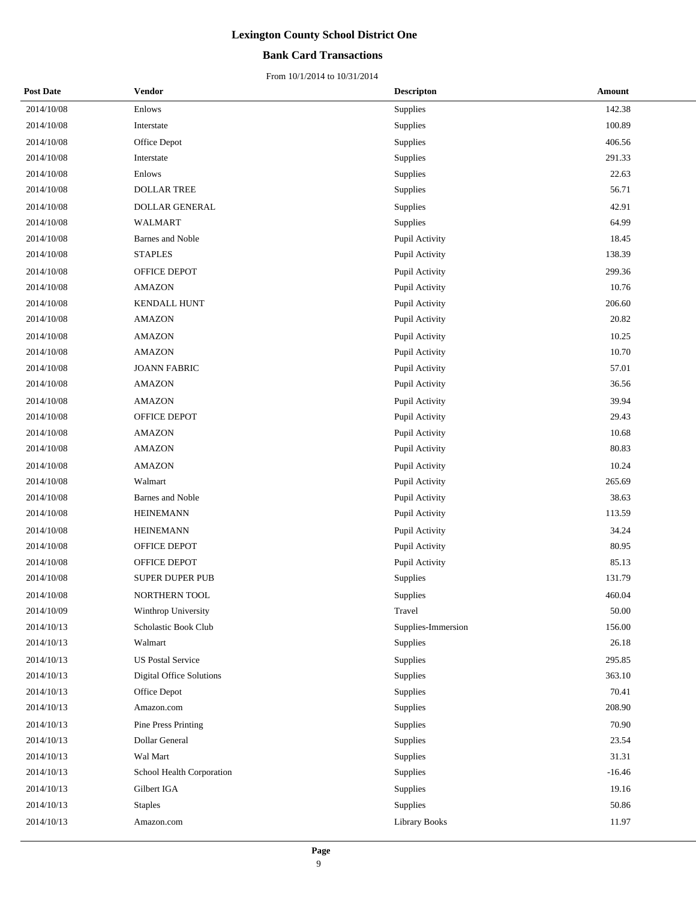#### **Bank Card Transactions**

| <b>Post Date</b> | Vendor                          | <b>Descripton</b>    | Amount   |
|------------------|---------------------------------|----------------------|----------|
| 2014/10/08       | Enlows                          | <b>Supplies</b>      | 142.38   |
| 2014/10/08       | Interstate                      | Supplies             | 100.89   |
| 2014/10/08       | Office Depot                    | Supplies             | 406.56   |
| 2014/10/08       | Interstate                      | Supplies             | 291.33   |
| 2014/10/08       | Enlows                          | Supplies             | 22.63    |
| 2014/10/08       | <b>DOLLAR TREE</b>              | Supplies             | 56.71    |
| 2014/10/08       | <b>DOLLAR GENERAL</b>           | Supplies             | 42.91    |
| 2014/10/08       | <b>WALMART</b>                  | Supplies             | 64.99    |
| 2014/10/08       | Barnes and Noble                | Pupil Activity       | 18.45    |
| 2014/10/08       | <b>STAPLES</b>                  | Pupil Activity       | 138.39   |
| 2014/10/08       | OFFICE DEPOT                    | Pupil Activity       | 299.36   |
| 2014/10/08       | <b>AMAZON</b>                   | Pupil Activity       | 10.76    |
| 2014/10/08       | <b>KENDALL HUNT</b>             | Pupil Activity       | 206.60   |
| 2014/10/08       | <b>AMAZON</b>                   | Pupil Activity       | 20.82    |
| 2014/10/08       | <b>AMAZON</b>                   | Pupil Activity       | 10.25    |
| 2014/10/08       | <b>AMAZON</b>                   | Pupil Activity       | 10.70    |
| 2014/10/08       | <b>JOANN FABRIC</b>             | Pupil Activity       | 57.01    |
| 2014/10/08       | <b>AMAZON</b>                   | Pupil Activity       | 36.56    |
| 2014/10/08       | <b>AMAZON</b>                   | Pupil Activity       | 39.94    |
| 2014/10/08       | OFFICE DEPOT                    | Pupil Activity       | 29.43    |
| 2014/10/08       | <b>AMAZON</b>                   | Pupil Activity       | 10.68    |
| 2014/10/08       | <b>AMAZON</b>                   | Pupil Activity       | 80.83    |
| 2014/10/08       | <b>AMAZON</b>                   | Pupil Activity       | 10.24    |
| 2014/10/08       | Walmart                         | Pupil Activity       | 265.69   |
| 2014/10/08       | Barnes and Noble                | Pupil Activity       | 38.63    |
| 2014/10/08       | <b>HEINEMANN</b>                | Pupil Activity       | 113.59   |
| 2014/10/08       | <b>HEINEMANN</b>                | Pupil Activity       | 34.24    |
| 2014/10/08       | OFFICE DEPOT                    | Pupil Activity       | 80.95    |
| 2014/10/08       | OFFICE DEPOT                    | Pupil Activity       | 85.13    |
| 2014/10/08       | <b>SUPER DUPER PUB</b>          | Supplies             | 131.79   |
| 2014/10/08       | <b>NORTHERN TOOL</b>            | Supplies             | 460.04   |
| 2014/10/09       | Winthrop University             | Travel               | 50.00    |
| 2014/10/13       | Scholastic Book Club            | Supplies-Immersion   | 156.00   |
| 2014/10/13       | Walmart                         | Supplies             | 26.18    |
| 2014/10/13       | <b>US Postal Service</b>        | Supplies             | 295.85   |
| 2014/10/13       | <b>Digital Office Solutions</b> | Supplies             | 363.10   |
| 2014/10/13       | Office Depot                    | Supplies             | 70.41    |
| 2014/10/13       | Amazon.com                      | Supplies             | 208.90   |
| 2014/10/13       | Pine Press Printing             | Supplies             | 70.90    |
| 2014/10/13       | Dollar General                  | Supplies             | 23.54    |
| 2014/10/13       | Wal Mart                        | Supplies             | 31.31    |
| 2014/10/13       | School Health Corporation       | Supplies             | $-16.46$ |
| 2014/10/13       | Gilbert IGA                     | Supplies             | 19.16    |
| 2014/10/13       | <b>Staples</b>                  | Supplies             | 50.86    |
| 2014/10/13       | Amazon.com                      | <b>Library Books</b> | 11.97    |
|                  |                                 |                      |          |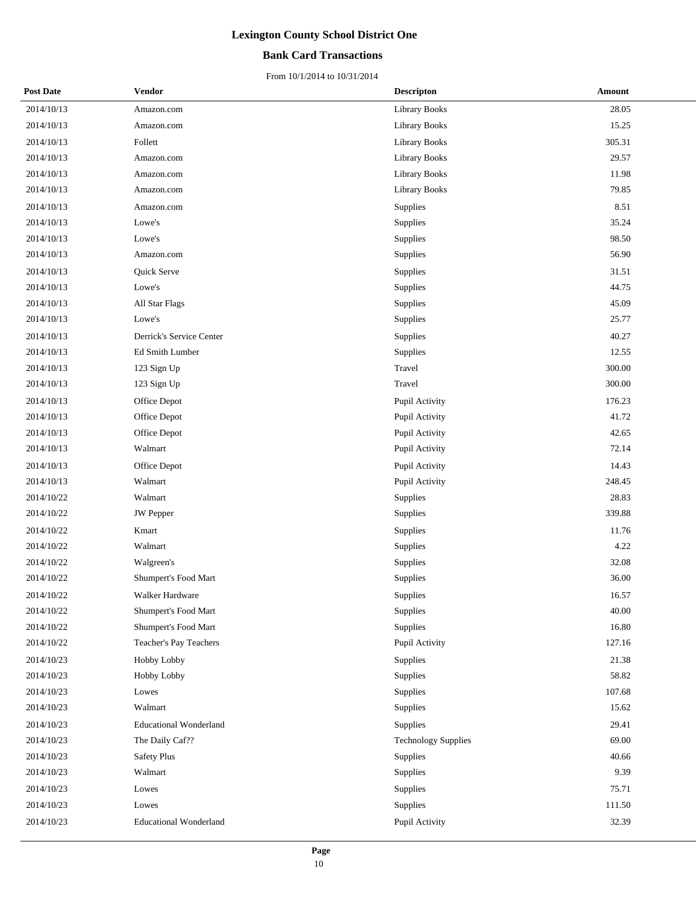#### **Bank Card Transactions**

| <b>Post Date</b> | Vendor                        | <b>Descripton</b>          | <b>Amount</b> |
|------------------|-------------------------------|----------------------------|---------------|
| 2014/10/13       | Amazon.com                    | <b>Library Books</b>       | 28.05         |
| 2014/10/13       | Amazon.com                    | Library Books              | 15.25         |
| 2014/10/13       | Follett                       | Library Books              | 305.31        |
| 2014/10/13       | Amazon.com                    | Library Books              | 29.57         |
| 2014/10/13       | Amazon.com                    | Library Books              | 11.98         |
| 2014/10/13       | Amazon.com                    | Library Books              | 79.85         |
| 2014/10/13       | Amazon.com                    | Supplies                   | 8.51          |
| 2014/10/13       | Lowe's                        | Supplies                   | 35.24         |
| 2014/10/13       | Lowe's                        | Supplies                   | 98.50         |
| 2014/10/13       | Amazon.com                    | Supplies                   | 56.90         |
| 2014/10/13       | Quick Serve                   | Supplies                   | 31.51         |
| 2014/10/13       | Lowe's                        | Supplies                   | 44.75         |
| 2014/10/13       | All Star Flags                | Supplies                   | 45.09         |
| 2014/10/13       | Lowe's                        | Supplies                   | 25.77         |
| 2014/10/13       | Derrick's Service Center      | Supplies                   | 40.27         |
| 2014/10/13       | Ed Smith Lumber               | Supplies                   | 12.55         |
| 2014/10/13       | 123 Sign Up                   | Travel                     | 300.00        |
| 2014/10/13       | 123 Sign Up                   | Travel                     | 300.00        |
| 2014/10/13       | Office Depot                  | Pupil Activity             | 176.23        |
| 2014/10/13       | Office Depot                  | Pupil Activity             | 41.72         |
| 2014/10/13       | Office Depot                  | Pupil Activity             | 42.65         |
| 2014/10/13       | Walmart                       | Pupil Activity             | 72.14         |
| 2014/10/13       | Office Depot                  | Pupil Activity             | 14.43         |
| 2014/10/13       | Walmart                       | Pupil Activity             | 248.45        |
| 2014/10/22       | Walmart                       | Supplies                   | 28.83         |
| 2014/10/22       | JW Pepper                     | Supplies                   | 339.88        |
| 2014/10/22       | Kmart                         | Supplies                   | 11.76         |
| 2014/10/22       | Walmart                       | Supplies                   | 4.22          |
| 2014/10/22       | Walgreen's                    | Supplies                   | 32.08         |
| 2014/10/22       | Shumpert's Food Mart          | Supplies                   | 36.00         |
| 2014/10/22       | Walker Hardware               | Supplies                   | 16.57         |
| 2014/10/22       | Shumpert's Food Mart          | Supplies                   | 40.00         |
| 2014/10/22       | Shumpert's Food Mart          | Supplies                   | 16.80         |
| 2014/10/22       | Teacher's Pay Teachers        | Pupil Activity             | 127.16        |
| 2014/10/23       | Hobby Lobby                   | Supplies                   | 21.38         |
| 2014/10/23       | Hobby Lobby                   | Supplies                   | 58.82         |
| 2014/10/23       | Lowes                         | Supplies                   | 107.68        |
| 2014/10/23       | Walmart                       | Supplies                   | 15.62         |
| 2014/10/23       | <b>Educational Wonderland</b> | Supplies                   | 29.41         |
| 2014/10/23       | The Daily Caf??               | <b>Technology Supplies</b> | 69.00         |
| 2014/10/23       | <b>Safety Plus</b>            | Supplies                   | 40.66         |
| 2014/10/23       | Walmart                       | Supplies                   | 9.39          |
| 2014/10/23       | Lowes                         | Supplies                   | 75.71         |
| 2014/10/23       | Lowes                         | Supplies                   | 111.50        |
| 2014/10/23       | <b>Educational Wonderland</b> | Pupil Activity             | 32.39         |
|                  |                               |                            |               |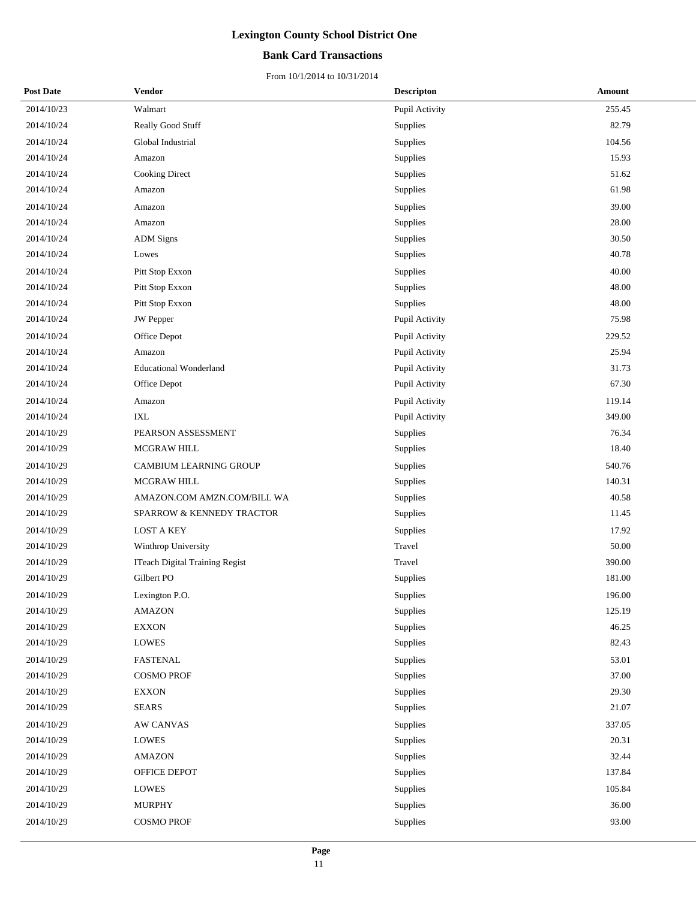#### **Bank Card Transactions**

| <b>Post Date</b> | Vendor                                | <b>Descripton</b> | Amount |
|------------------|---------------------------------------|-------------------|--------|
| 2014/10/23       | Walmart                               | Pupil Activity    | 255.45 |
| 2014/10/24       | Really Good Stuff                     | Supplies          | 82.79  |
| 2014/10/24       | Global Industrial                     | Supplies          | 104.56 |
| 2014/10/24       | Amazon                                | Supplies          | 15.93  |
| 2014/10/24       | Cooking Direct                        | Supplies          | 51.62  |
| 2014/10/24       | Amazon                                | Supplies          | 61.98  |
| 2014/10/24       | Amazon                                | Supplies          | 39.00  |
| 2014/10/24       | Amazon                                | Supplies          | 28.00  |
| 2014/10/24       | <b>ADM</b> Signs                      | Supplies          | 30.50  |
| 2014/10/24       | Lowes                                 | Supplies          | 40.78  |
| 2014/10/24       | Pitt Stop Exxon                       | Supplies          | 40.00  |
| 2014/10/24       | Pitt Stop Exxon                       | Supplies          | 48.00  |
| 2014/10/24       | Pitt Stop Exxon                       | Supplies          | 48.00  |
| 2014/10/24       | <b>JW</b> Pepper                      | Pupil Activity    | 75.98  |
| 2014/10/24       | Office Depot                          | Pupil Activity    | 229.52 |
| 2014/10/24       | Amazon                                | Pupil Activity    | 25.94  |
| 2014/10/24       | <b>Educational Wonderland</b>         | Pupil Activity    | 31.73  |
| 2014/10/24       | Office Depot                          | Pupil Activity    | 67.30  |
| 2014/10/24       | Amazon                                | Pupil Activity    | 119.14 |
| 2014/10/24       | IXL                                   | Pupil Activity    | 349.00 |
| 2014/10/29       | PEARSON ASSESSMENT                    | Supplies          | 76.34  |
| 2014/10/29       | <b>MCGRAW HILL</b>                    | Supplies          | 18.40  |
| 2014/10/29       | CAMBIUM LEARNING GROUP                | Supplies          | 540.76 |
| 2014/10/29       | <b>MCGRAW HILL</b>                    | Supplies          | 140.31 |
| 2014/10/29       | AMAZON.COM AMZN.COM/BILL WA           | Supplies          | 40.58  |
| 2014/10/29       | SPARROW & KENNEDY TRACTOR             | Supplies          | 11.45  |
| 2014/10/29       | <b>LOST A KEY</b>                     | Supplies          | 17.92  |
| 2014/10/29       | Winthrop University                   | Travel            | 50.00  |
| 2014/10/29       | <b>ITeach Digital Training Regist</b> | Travel            | 390.00 |
| 2014/10/29       | Gilbert PO                            | Supplies          | 181.00 |
| 2014/10/29       | Lexington P.O.                        | Supplies          | 196.00 |
| 2014/10/29       | <b>AMAZON</b>                         | Supplies          | 125.19 |
| 2014/10/29       | <b>EXXON</b>                          | Supplies          | 46.25  |
| 2014/10/29       | LOWES                                 | Supplies          | 82.43  |
| 2014/10/29       | FASTENAL                              | Supplies          | 53.01  |
| 2014/10/29       | <b>COSMO PROF</b>                     | Supplies          | 37.00  |
| 2014/10/29       | <b>EXXON</b>                          | Supplies          | 29.30  |
| 2014/10/29       | <b>SEARS</b>                          | Supplies          | 21.07  |
| 2014/10/29       | <b>AW CANVAS</b>                      | Supplies          | 337.05 |
| 2014/10/29       | <b>LOWES</b>                          | Supplies          | 20.31  |
| 2014/10/29       | <b>AMAZON</b>                         | Supplies          | 32.44  |
| 2014/10/29       | OFFICE DEPOT                          | Supplies          | 137.84 |
| 2014/10/29       | LOWES                                 | Supplies          | 105.84 |
| 2014/10/29       | <b>MURPHY</b>                         | Supplies          | 36.00  |
| 2014/10/29       | <b>COSMO PROF</b>                     | Supplies          | 93.00  |
|                  |                                       |                   |        |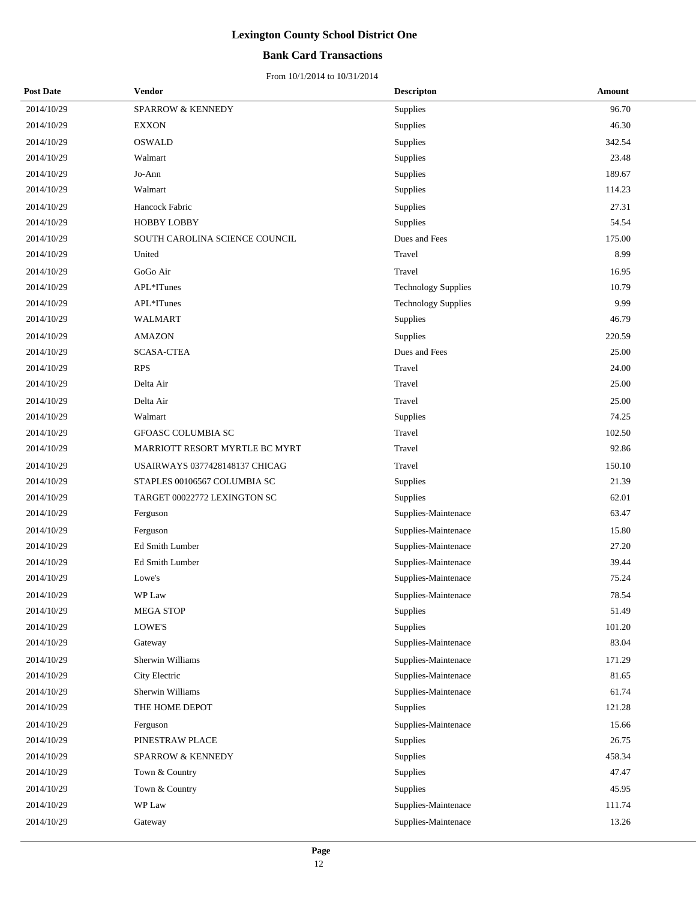#### **Bank Card Transactions**

| <b>Post Date</b> | <b>Vendor</b>                         | <b>Descripton</b>          | Amount |
|------------------|---------------------------------------|----------------------------|--------|
| 2014/10/29       | SPARROW & KENNEDY                     | <b>Supplies</b>            | 96.70  |
| 2014/10/29       | <b>EXXON</b>                          | Supplies                   | 46.30  |
| 2014/10/29       | <b>OSWALD</b>                         | Supplies                   | 342.54 |
| 2014/10/29       | Walmart                               | Supplies                   | 23.48  |
| 2014/10/29       | Jo-Ann                                | Supplies                   | 189.67 |
| 2014/10/29       | Walmart                               | Supplies                   | 114.23 |
| 2014/10/29       | Hancock Fabric                        | Supplies                   | 27.31  |
| 2014/10/29       | <b>HOBBY LOBBY</b>                    | Supplies                   | 54.54  |
| 2014/10/29       | SOUTH CAROLINA SCIENCE COUNCIL        | Dues and Fees              | 175.00 |
| 2014/10/29       | United                                | Travel                     | 8.99   |
| 2014/10/29       | GoGo Air                              | Travel                     | 16.95  |
| 2014/10/29       | APL*ITunes                            | <b>Technology Supplies</b> | 10.79  |
| 2014/10/29       | APL*ITunes                            | <b>Technology Supplies</b> | 9.99   |
| 2014/10/29       | <b>WALMART</b>                        | Supplies                   | 46.79  |
| 2014/10/29       | <b>AMAZON</b>                         | Supplies                   | 220.59 |
| 2014/10/29       | <b>SCASA-CTEA</b>                     | Dues and Fees              | 25.00  |
| 2014/10/29       | <b>RPS</b>                            | Travel                     | 24.00  |
| 2014/10/29       | Delta Air                             | Travel                     | 25.00  |
| 2014/10/29       | Delta Air                             | Travel                     | 25.00  |
| 2014/10/29       | Walmart                               | Supplies                   | 74.25  |
| 2014/10/29       | GFOASC COLUMBIA SC                    | Travel                     | 102.50 |
| 2014/10/29       | MARRIOTT RESORT MYRTLE BC MYRT        | Travel                     | 92.86  |
| 2014/10/29       | <b>USAIRWAYS 0377428148137 CHICAG</b> | Travel                     | 150.10 |
| 2014/10/29       | STAPLES 00106567 COLUMBIA SC          | Supplies                   | 21.39  |
| 2014/10/29       | TARGET 00022772 LEXINGTON SC          | <b>Supplies</b>            | 62.01  |
| 2014/10/29       | Ferguson                              | Supplies-Maintenace        | 63.47  |
| 2014/10/29       | Ferguson                              | Supplies-Maintenace        | 15.80  |
| 2014/10/29       | Ed Smith Lumber                       | Supplies-Maintenace        | 27.20  |
| 2014/10/29       | Ed Smith Lumber                       | Supplies-Maintenace        | 39.44  |
| 2014/10/29       | Lowe's                                | Supplies-Maintenace        | 75.24  |
| 2014/10/29       | WP Law                                | Supplies-Maintenace        | 78.54  |
| 2014/10/29       | <b>MEGA STOP</b>                      | Supplies                   | 51.49  |
| 2014/10/29       | LOWE'S                                | Supplies                   | 101.20 |
| 2014/10/29       | Gateway                               | Supplies-Maintenace        | 83.04  |
| 2014/10/29       | Sherwin Williams                      | Supplies-Maintenace        | 171.29 |
| 2014/10/29       | City Electric                         | Supplies-Maintenace        | 81.65  |
| 2014/10/29       | Sherwin Williams                      | Supplies-Maintenace        | 61.74  |
| 2014/10/29       | THE HOME DEPOT                        | Supplies                   | 121.28 |
| 2014/10/29       | Ferguson                              | Supplies-Maintenace        | 15.66  |
| 2014/10/29       | PINESTRAW PLACE                       | Supplies                   | 26.75  |
| 2014/10/29       | SPARROW & KENNEDY                     | Supplies                   | 458.34 |
| 2014/10/29       | Town & Country                        | Supplies                   | 47.47  |
| 2014/10/29       | Town & Country                        | Supplies                   | 45.95  |
| 2014/10/29       | WP Law                                | Supplies-Maintenace        | 111.74 |
| 2014/10/29       | Gateway                               | Supplies-Maintenace        | 13.26  |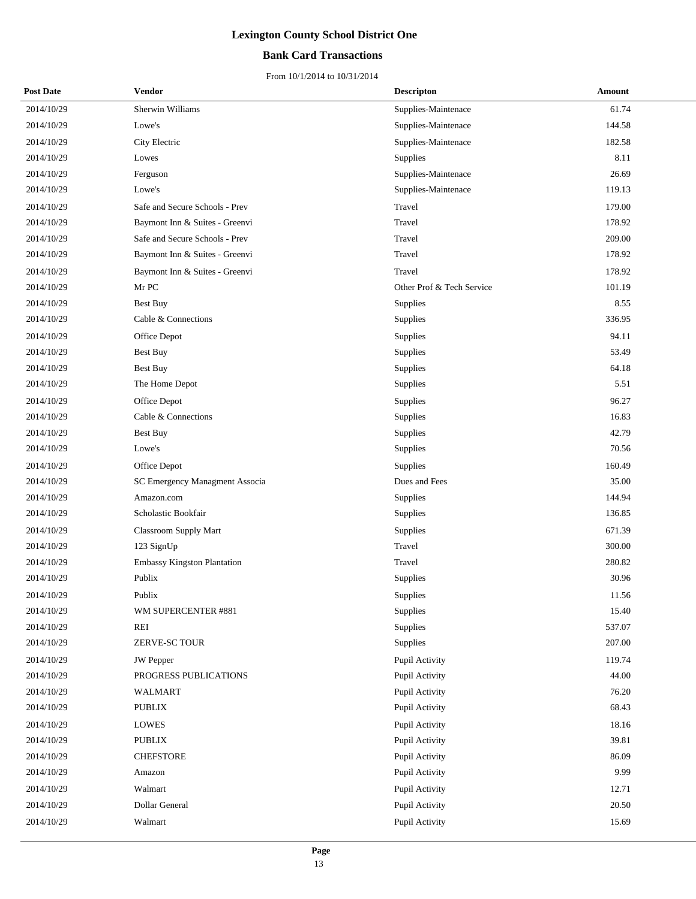#### **Bank Card Transactions**

| <b>Post Date</b> | Vendor                             | <b>Descripton</b>         | Amount |
|------------------|------------------------------------|---------------------------|--------|
| 2014/10/29       | Sherwin Williams                   | Supplies-Maintenace       | 61.74  |
| 2014/10/29       | Lowe's                             | Supplies-Maintenace       | 144.58 |
| 2014/10/29       | City Electric                      | Supplies-Maintenace       | 182.58 |
| 2014/10/29       | Lowes                              | Supplies                  | 8.11   |
| 2014/10/29       | Ferguson                           | Supplies-Maintenace       | 26.69  |
| 2014/10/29       | Lowe's                             | Supplies-Maintenace       | 119.13 |
| 2014/10/29       | Safe and Secure Schools - Prev     | Travel                    | 179.00 |
| 2014/10/29       | Baymont Inn & Suites - Greenvi     | Travel                    | 178.92 |
| 2014/10/29       | Safe and Secure Schools - Prev     | Travel                    | 209.00 |
| 2014/10/29       | Baymont Inn & Suites - Greenvi     | Travel                    | 178.92 |
| 2014/10/29       | Baymont Inn & Suites - Greenvi     | Travel                    | 178.92 |
| 2014/10/29       | Mr PC                              | Other Prof & Tech Service | 101.19 |
| 2014/10/29       | Best Buy                           | Supplies                  | 8.55   |
| 2014/10/29       | Cable & Connections                | Supplies                  | 336.95 |
| 2014/10/29       | Office Depot                       | Supplies                  | 94.11  |
| 2014/10/29       | Best Buy                           | Supplies                  | 53.49  |
| 2014/10/29       | <b>Best Buy</b>                    | Supplies                  | 64.18  |
| 2014/10/29       | The Home Depot                     | Supplies                  | 5.51   |
| 2014/10/29       | Office Depot                       | Supplies                  | 96.27  |
| 2014/10/29       | Cable & Connections                | Supplies                  | 16.83  |
| 2014/10/29       | <b>Best Buy</b>                    | Supplies                  | 42.79  |
| 2014/10/29       | Lowe's                             | Supplies                  | 70.56  |
| 2014/10/29       | Office Depot                       | Supplies                  | 160.49 |
| 2014/10/29       | SC Emergency Managment Associa     | Dues and Fees             | 35.00  |
| 2014/10/29       | Amazon.com                         | Supplies                  | 144.94 |
| 2014/10/29       | Scholastic Bookfair                | Supplies                  | 136.85 |
| 2014/10/29       | <b>Classroom Supply Mart</b>       | Supplies                  | 671.39 |
| 2014/10/29       | 123 SignUp                         | Travel                    | 300.00 |
| 2014/10/29       | <b>Embassy Kingston Plantation</b> | Travel                    | 280.82 |
| 2014/10/29       | Publix                             | Supplies                  | 30.96  |
| 2014/10/29       | Publix                             | Supplies                  | 11.56  |
| 2014/10/29       | WM SUPERCENTER #881                | Supplies                  | 15.40  |
| 2014/10/29       | REI                                | Supplies                  | 537.07 |
| 2014/10/29       | ZERVE-SC TOUR                      | Supplies                  | 207.00 |
| 2014/10/29       | <b>JW</b> Pepper                   | Pupil Activity            | 119.74 |
| 2014/10/29       | PROGRESS PUBLICATIONS              | Pupil Activity            | 44.00  |
| 2014/10/29       | <b>WALMART</b>                     | Pupil Activity            | 76.20  |
| 2014/10/29       | <b>PUBLIX</b>                      | Pupil Activity            | 68.43  |
| 2014/10/29       | LOWES                              | Pupil Activity            | 18.16  |
| 2014/10/29       | <b>PUBLIX</b>                      | Pupil Activity            | 39.81  |
| 2014/10/29       | <b>CHEFSTORE</b>                   | Pupil Activity            | 86.09  |
| 2014/10/29       | Amazon                             | Pupil Activity            | 9.99   |
| 2014/10/29       | Walmart                            | Pupil Activity            | 12.71  |
| 2014/10/29       | Dollar General                     | Pupil Activity            | 20.50  |
| 2014/10/29       | Walmart                            | Pupil Activity            | 15.69  |
|                  |                                    |                           |        |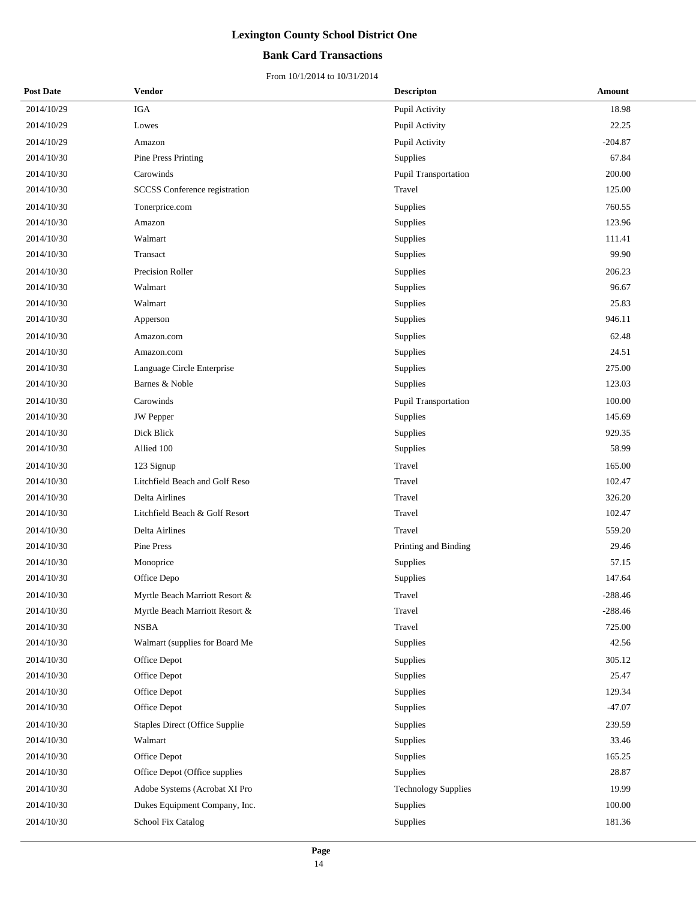#### **Bank Card Transactions**

| <b>Post Date</b> | Vendor                                | <b>Descripton</b>          | Amount    |
|------------------|---------------------------------------|----------------------------|-----------|
| 2014/10/29       | <b>IGA</b>                            | Pupil Activity             | 18.98     |
| 2014/10/29       | Lowes                                 | Pupil Activity             | 22.25     |
| 2014/10/29       | Amazon                                | Pupil Activity             | $-204.87$ |
| 2014/10/30       | <b>Pine Press Printing</b>            | Supplies                   | 67.84     |
| 2014/10/30       | Carowinds                             | Pupil Transportation       | 200.00    |
| 2014/10/30       | SCCSS Conference registration         | Travel                     | 125.00    |
| 2014/10/30       | Tonerprice.com                        | Supplies                   | 760.55    |
| 2014/10/30       | Amazon                                | Supplies                   | 123.96    |
| 2014/10/30       | Walmart                               | Supplies                   | 111.41    |
| 2014/10/30       | Transact                              | Supplies                   | 99.90     |
| 2014/10/30       | Precision Roller                      | Supplies                   | 206.23    |
| 2014/10/30       | Walmart                               | Supplies                   | 96.67     |
| 2014/10/30       | Walmart                               | Supplies                   | 25.83     |
| 2014/10/30       | Apperson                              | Supplies                   | 946.11    |
| 2014/10/30       | Amazon.com                            | Supplies                   | 62.48     |
| 2014/10/30       | Amazon.com                            | Supplies                   | 24.51     |
| 2014/10/30       | Language Circle Enterprise            | Supplies                   | 275.00    |
| 2014/10/30       | Barnes & Noble                        | Supplies                   | 123.03    |
| 2014/10/30       | Carowinds                             | Pupil Transportation       | 100.00    |
| 2014/10/30       | <b>JW</b> Pepper                      | Supplies                   | 145.69    |
| 2014/10/30       | Dick Blick                            | Supplies                   | 929.35    |
| 2014/10/30       | Allied 100                            | Supplies                   | 58.99     |
| 2014/10/30       | 123 Signup                            | Travel                     | 165.00    |
| 2014/10/30       | Litchfield Beach and Golf Reso        | Travel                     | 102.47    |
| 2014/10/30       | Delta Airlines                        | Travel                     | 326.20    |
| 2014/10/30       | Litchfield Beach & Golf Resort        | Travel                     | 102.47    |
| 2014/10/30       | Delta Airlines                        | Travel                     | 559.20    |
| 2014/10/30       | Pine Press                            | Printing and Binding       | 29.46     |
| 2014/10/30       | Monoprice                             | Supplies                   | 57.15     |
| 2014/10/30       | Office Depo                           | Supplies                   | 147.64    |
| 2014/10/30       | Myrtle Beach Marriott Resort &        | Travel                     | $-288.46$ |
| 2014/10/30       | Myrtle Beach Marriott Resort &        | Travel                     | $-288.46$ |
| 2014/10/30       | <b>NSBA</b>                           | Travel                     | 725.00    |
| 2014/10/30       | Walmart (supplies for Board Me        | Supplies                   | 42.56     |
| 2014/10/30       | Office Depot                          | Supplies                   | 305.12    |
| 2014/10/30       | Office Depot                          | Supplies                   | 25.47     |
| 2014/10/30       | Office Depot                          | Supplies                   | 129.34    |
| 2014/10/30       | Office Depot                          | Supplies                   | $-47.07$  |
| 2014/10/30       | <b>Staples Direct (Office Supplie</b> | Supplies                   | 239.59    |
| 2014/10/30       | Walmart                               | Supplies                   | 33.46     |
| 2014/10/30       | Office Depot                          | Supplies                   | 165.25    |
| 2014/10/30       | Office Depot (Office supplies         | Supplies                   | 28.87     |
| 2014/10/30       | Adobe Systems (Acrobat XI Pro         | <b>Technology Supplies</b> | 19.99     |
| 2014/10/30       | Dukes Equipment Company, Inc.         | Supplies                   | 100.00    |
| 2014/10/30       | School Fix Catalog                    | Supplies                   | 181.36    |
|                  |                                       |                            |           |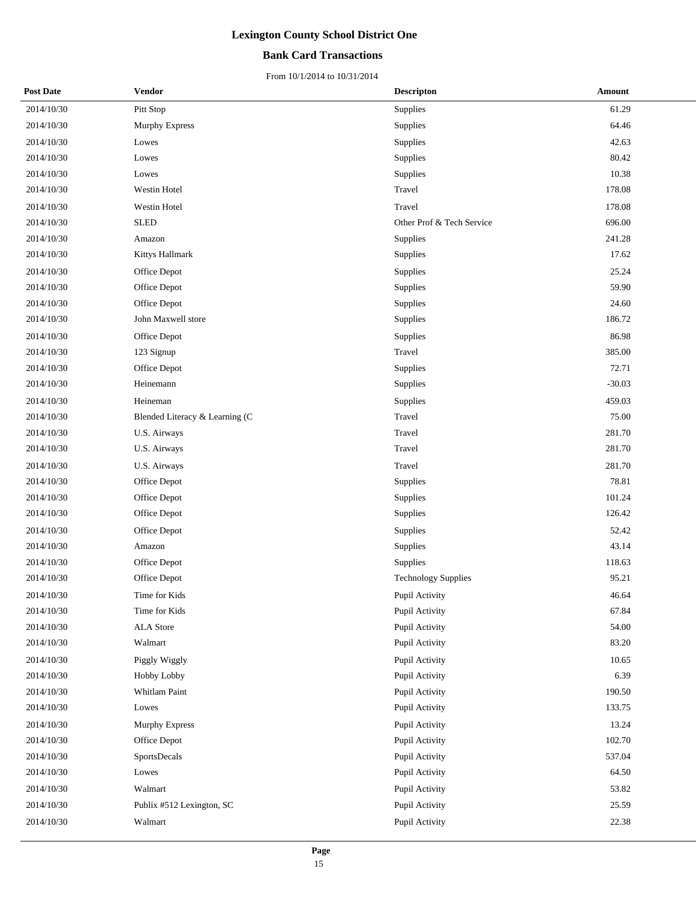#### **Bank Card Transactions**

| <b>Post Date</b> | Vendor                         | <b>Descripton</b>          | Amount   |
|------------------|--------------------------------|----------------------------|----------|
| 2014/10/30       | Pitt Stop                      | Supplies                   | 61.29    |
| 2014/10/30       | Murphy Express                 | Supplies                   | 64.46    |
| 2014/10/30       | Lowes                          | Supplies                   | 42.63    |
| 2014/10/30       | Lowes                          | Supplies                   | 80.42    |
| 2014/10/30       | Lowes                          | Supplies                   | 10.38    |
| 2014/10/30       | Westin Hotel                   | Travel                     | 178.08   |
| 2014/10/30       | Westin Hotel                   | Travel                     | 178.08   |
| 2014/10/30       | <b>SLED</b>                    | Other Prof & Tech Service  | 696.00   |
| 2014/10/30       | Amazon                         | Supplies                   | 241.28   |
| 2014/10/30       | Kittys Hallmark                | Supplies                   | 17.62    |
| 2014/10/30       | Office Depot                   | Supplies                   | 25.24    |
| 2014/10/30       | Office Depot                   | <b>Supplies</b>            | 59.90    |
| 2014/10/30       | Office Depot                   | Supplies                   | 24.60    |
| 2014/10/30       | John Maxwell store             | Supplies                   | 186.72   |
| 2014/10/30       | Office Depot                   | Supplies                   | 86.98    |
| 2014/10/30       | 123 Signup                     | Travel                     | 385.00   |
| 2014/10/30       | Office Depot                   | <b>Supplies</b>            | 72.71    |
| 2014/10/30       | Heinemann                      | Supplies                   | $-30.03$ |
| 2014/10/30       | Heineman                       | Supplies                   | 459.03   |
| 2014/10/30       | Blended Literacy & Learning (C | Travel                     | 75.00    |
| 2014/10/30       | U.S. Airways                   | Travel                     | 281.70   |
| 2014/10/30       | U.S. Airways                   | Travel                     | 281.70   |
| 2014/10/30       | U.S. Airways                   | Travel                     | 281.70   |
| 2014/10/30       | Office Depot                   | <b>Supplies</b>            | 78.81    |
| 2014/10/30       | Office Depot                   | Supplies                   | 101.24   |
| 2014/10/30       | Office Depot                   | Supplies                   | 126.42   |
| 2014/10/30       | Office Depot                   | Supplies                   | 52.42    |
| 2014/10/30       | Amazon                         | Supplies                   | 43.14    |
| 2014/10/30       | Office Depot                   | Supplies                   | 118.63   |
| 2014/10/30       | Office Depot                   | <b>Technology Supplies</b> | 95.21    |
| 2014/10/30       | Time for Kids                  | Pupil Activity             | 46.64    |
| 2014/10/30       | Time for Kids                  | Pupil Activity             | 67.84    |
| 2014/10/30       | ALA Store                      | Pupil Activity             | 54.00    |
| 2014/10/30       | Walmart                        | Pupil Activity             | 83.20    |
| 2014/10/30       | Piggly Wiggly                  | Pupil Activity             | 10.65    |
| 2014/10/30       | Hobby Lobby                    | Pupil Activity             | 6.39     |
| 2014/10/30       | Whitlam Paint                  | Pupil Activity             | 190.50   |
| 2014/10/30       | Lowes                          | Pupil Activity             | 133.75   |
| 2014/10/30       | <b>Murphy Express</b>          | Pupil Activity             | 13.24    |
| 2014/10/30       | Office Depot                   | Pupil Activity             | 102.70   |
| 2014/10/30       | SportsDecals                   | Pupil Activity             | 537.04   |
| 2014/10/30       | Lowes                          | Pupil Activity             | 64.50    |
| 2014/10/30       | Walmart                        | Pupil Activity             | 53.82    |
| 2014/10/30       | Publix #512 Lexington, SC      | Pupil Activity             | 25.59    |
| 2014/10/30       | Walmart                        | Pupil Activity             | 22.38    |
|                  |                                |                            |          |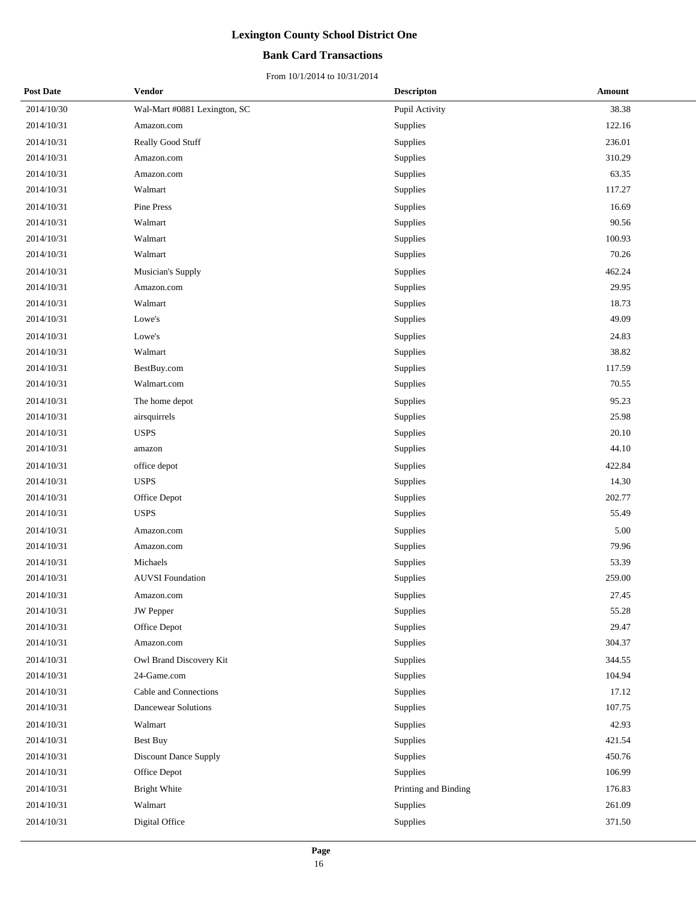#### **Bank Card Transactions**

| <b>Post Date</b> | Vendor                       | <b>Descripton</b>    | Amount |
|------------------|------------------------------|----------------------|--------|
| 2014/10/30       | Wal-Mart #0881 Lexington, SC | Pupil Activity       | 38.38  |
| 2014/10/31       | Amazon.com                   | Supplies             | 122.16 |
| 2014/10/31       | Really Good Stuff            | Supplies             | 236.01 |
| 2014/10/31       | Amazon.com                   | Supplies             | 310.29 |
| 2014/10/31       | Amazon.com                   | Supplies             | 63.35  |
| 2014/10/31       | Walmart                      | Supplies             | 117.27 |
| 2014/10/31       | Pine Press                   | Supplies             | 16.69  |
| 2014/10/31       | Walmart                      | Supplies             | 90.56  |
| 2014/10/31       | Walmart                      | Supplies             | 100.93 |
| 2014/10/31       | Walmart                      | Supplies             | 70.26  |
| 2014/10/31       | Musician's Supply            | Supplies             | 462.24 |
| 2014/10/31       | Amazon.com                   | Supplies             | 29.95  |
| 2014/10/31       | Walmart                      | Supplies             | 18.73  |
| 2014/10/31       | Lowe's                       | Supplies             | 49.09  |
| 2014/10/31       | Lowe's                       | Supplies             | 24.83  |
| 2014/10/31       | Walmart                      | Supplies             | 38.82  |
| 2014/10/31       | BestBuy.com                  | Supplies             | 117.59 |
| 2014/10/31       | Walmart.com                  | Supplies             | 70.55  |
| 2014/10/31       | The home depot               | Supplies             | 95.23  |
| 2014/10/31       | airsquirrels                 | Supplies             | 25.98  |
| 2014/10/31       | <b>USPS</b>                  | Supplies             | 20.10  |
| 2014/10/31       | amazon                       | Supplies             | 44.10  |
| 2014/10/31       | office depot                 | Supplies             | 422.84 |
| 2014/10/31       | <b>USPS</b>                  | Supplies             | 14.30  |
| 2014/10/31       | Office Depot                 | Supplies             | 202.77 |
| 2014/10/31       | <b>USPS</b>                  | Supplies             | 55.49  |
| 2014/10/31       | Amazon.com                   | Supplies             | 5.00   |
| 2014/10/31       | Amazon.com                   | Supplies             | 79.96  |
| 2014/10/31       | Michaels                     | Supplies             | 53.39  |
| 2014/10/31       | <b>AUVSI</b> Foundation      | Supplies             | 259.00 |
| 2014/10/31       | Amazon.com                   | Supplies             | 27.45  |
| 2014/10/31       | JW Pepper                    | Supplies             | 55.28  |
| 2014/10/31       | Office Depot                 | Supplies             | 29.47  |
| 2014/10/31       | Amazon.com                   | Supplies             | 304.37 |
| 2014/10/31       | Owl Brand Discovery Kit      | Supplies             | 344.55 |
| 2014/10/31       | 24-Game.com                  | Supplies             | 104.94 |
| 2014/10/31       | Cable and Connections        | Supplies             | 17.12  |
| 2014/10/31       | <b>Dancewear Solutions</b>   | Supplies             | 107.75 |
| 2014/10/31       | Walmart                      | Supplies             | 42.93  |
| 2014/10/31       | Best Buy                     | Supplies             | 421.54 |
| 2014/10/31       | Discount Dance Supply        | Supplies             | 450.76 |
| 2014/10/31       | Office Depot                 | Supplies             | 106.99 |
| 2014/10/31       | <b>Bright White</b>          | Printing and Binding | 176.83 |
| 2014/10/31       | Walmart                      | Supplies             | 261.09 |
| 2014/10/31       | Digital Office               | Supplies             | 371.50 |
|                  |                              |                      |        |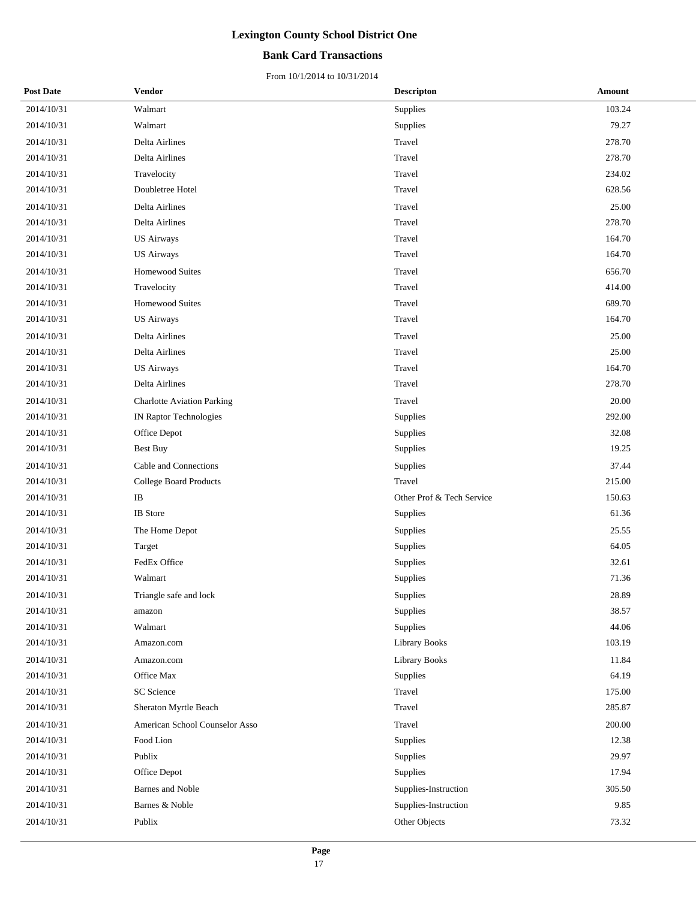#### **Bank Card Transactions**

| <b>Post Date</b> | <b>Vendor</b>                     | <b>Descripton</b>         | Amount |
|------------------|-----------------------------------|---------------------------|--------|
| 2014/10/31       | Walmart                           | Supplies                  | 103.24 |
| 2014/10/31       | Walmart                           | Supplies                  | 79.27  |
| 2014/10/31       | Delta Airlines                    | Travel                    | 278.70 |
| 2014/10/31       | Delta Airlines                    | Travel                    | 278.70 |
| 2014/10/31       | Travelocity                       | Travel                    | 234.02 |
| 2014/10/31       | Doubletree Hotel                  | Travel                    | 628.56 |
| 2014/10/31       | Delta Airlines                    | Travel                    | 25.00  |
| 2014/10/31       | Delta Airlines                    | Travel                    | 278.70 |
| 2014/10/31       | <b>US Airways</b>                 | Travel                    | 164.70 |
| 2014/10/31       | <b>US Airways</b>                 | Travel                    | 164.70 |
| 2014/10/31       | <b>Homewood Suites</b>            | Travel                    | 656.70 |
| 2014/10/31       | Travelocity                       | Travel                    | 414.00 |
| 2014/10/31       | <b>Homewood Suites</b>            | Travel                    | 689.70 |
| 2014/10/31       | US Airways                        | Travel                    | 164.70 |
| 2014/10/31       | Delta Airlines                    | Travel                    | 25.00  |
| 2014/10/31       | Delta Airlines                    | Travel                    | 25.00  |
| 2014/10/31       | <b>US Airways</b>                 | Travel                    | 164.70 |
| 2014/10/31       | Delta Airlines                    | Travel                    | 278.70 |
| 2014/10/31       | <b>Charlotte Aviation Parking</b> | Travel                    | 20.00  |
| 2014/10/31       | <b>IN Raptor Technologies</b>     | Supplies                  | 292.00 |
| 2014/10/31       | Office Depot                      | Supplies                  | 32.08  |
| 2014/10/31       | <b>Best Buy</b>                   | Supplies                  | 19.25  |
| 2014/10/31       | Cable and Connections             | Supplies                  | 37.44  |
| 2014/10/31       | College Board Products            | Travel                    | 215.00 |
| 2014/10/31       | $\rm IB$                          | Other Prof & Tech Service | 150.63 |
| 2014/10/31       | <b>IB</b> Store                   | Supplies                  | 61.36  |
| 2014/10/31       | The Home Depot                    | Supplies                  | 25.55  |
| 2014/10/31       | Target                            | Supplies                  | 64.05  |
| 2014/10/31       | FedEx Office                      | Supplies                  | 32.61  |
| 2014/10/31       | Walmart                           | Supplies                  | 71.36  |
| 2014/10/31       | Triangle safe and lock            | Supplies                  | 28.89  |
| 2014/10/31       | amazon                            | Supplies                  | 38.57  |
| 2014/10/31       | Walmart                           | Supplies                  | 44.06  |
| 2014/10/31       | Amazon.com                        | Library Books             | 103.19 |
| 2014/10/31       | Amazon.com                        | <b>Library Books</b>      | 11.84  |
| 2014/10/31       | Office Max                        | Supplies                  | 64.19  |
| 2014/10/31       | SC Science                        | Travel                    | 175.00 |
| 2014/10/31       | Sheraton Myrtle Beach             | Travel                    | 285.87 |
| 2014/10/31       | American School Counselor Asso    | Travel                    | 200.00 |
| 2014/10/31       | Food Lion                         | Supplies                  | 12.38  |
| 2014/10/31       | Publix                            | Supplies                  | 29.97  |
| 2014/10/31       | Office Depot                      | Supplies                  | 17.94  |
| 2014/10/31       | <b>Barnes</b> and Noble           | Supplies-Instruction      | 305.50 |
| 2014/10/31       | Barnes & Noble                    | Supplies-Instruction      | 9.85   |
| 2014/10/31       | Publix                            | Other Objects             | 73.32  |
|                  |                                   |                           |        |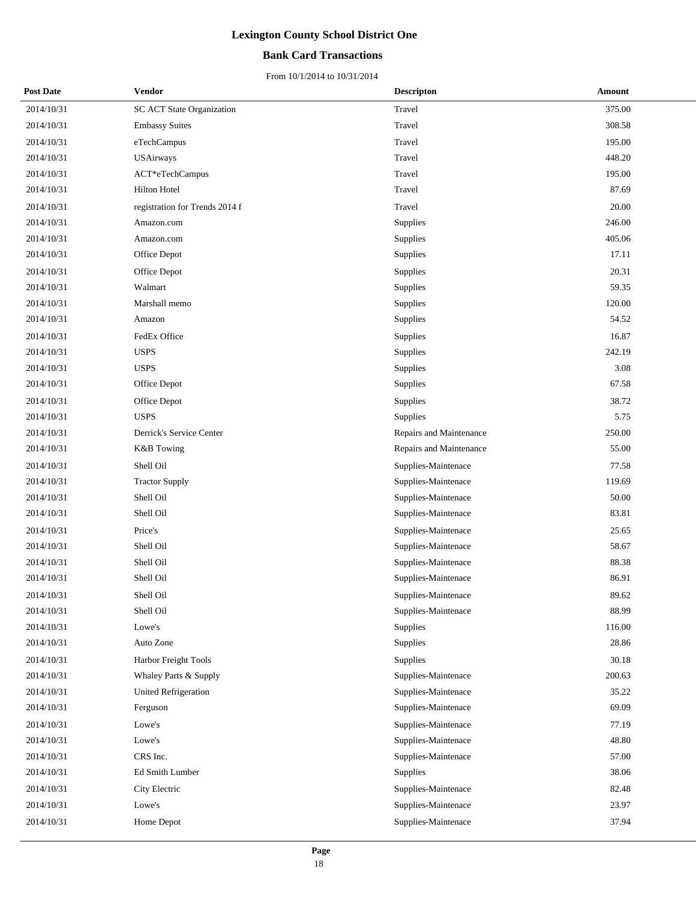#### **Bank Card Transactions**

| <b>Post Date</b> | <b>Vendor</b>                  | <b>Descripton</b>       | Amount |
|------------------|--------------------------------|-------------------------|--------|
| 2014/10/31       | SC ACT State Organization      | Travel                  | 375.00 |
| 2014/10/31       | <b>Embassy Suites</b>          | Travel                  | 308.58 |
| 2014/10/31       | eTechCampus                    | Travel                  | 195.00 |
| 2014/10/31       | <b>USAirways</b>               | Travel                  | 448.20 |
| 2014/10/31       | ACT*eTechCampus                | Travel                  | 195.00 |
| 2014/10/31       | <b>Hilton Hotel</b>            | Travel                  | 87.69  |
| 2014/10/31       | registration for Trends 2014 f | Travel                  | 20.00  |
| 2014/10/31       | Amazon.com                     | Supplies                | 246.00 |
| 2014/10/31       | Amazon.com                     | Supplies                | 405.06 |
| 2014/10/31       | Office Depot                   | Supplies                | 17.11  |
| 2014/10/31       | Office Depot                   | Supplies                | 20.31  |
| 2014/10/31       | Walmart                        | Supplies                | 59.35  |
| 2014/10/31       | Marshall memo                  | Supplies                | 120.00 |
| 2014/10/31       | Amazon                         | Supplies                | 54.52  |
| 2014/10/31       | FedEx Office                   | Supplies                | 16.87  |
| 2014/10/31       | <b>USPS</b>                    | Supplies                | 242.19 |
| 2014/10/31       | <b>USPS</b>                    | Supplies                | 3.08   |
| 2014/10/31       | Office Depot                   | Supplies                | 67.58  |
| 2014/10/31       | Office Depot                   | Supplies                | 38.72  |
| 2014/10/31       | <b>USPS</b>                    | Supplies                | 5.75   |
| 2014/10/31       | Derrick's Service Center       | Repairs and Maintenance | 250.00 |
| 2014/10/31       | <b>K&amp;B</b> Towing          | Repairs and Maintenance | 55.00  |
| 2014/10/31       | Shell Oil                      | Supplies-Maintenace     | 77.58  |
| 2014/10/31       | <b>Tractor Supply</b>          | Supplies-Maintenace     | 119.69 |
| 2014/10/31       | Shell Oil                      | Supplies-Maintenace     | 50.00  |
| 2014/10/31       | Shell Oil                      | Supplies-Maintenace     | 83.81  |
| 2014/10/31       | Price's                        | Supplies-Maintenace     | 25.65  |
| 2014/10/31       | Shell Oil                      | Supplies-Maintenace     | 58.67  |
| 2014/10/31       | Shell Oil                      | Supplies-Maintenace     | 88.38  |
| 2014/10/31       | Shell Oil                      | Supplies-Maintenace     | 86.91  |
| 2014/10/31       | Shell Oil                      | Supplies-Maintenace     | 89.62  |
| 2014/10/31       | Shell Oil                      | Supplies-Maintenace     | 88.99  |
| 2014/10/31       | Lowe's                         | Supplies                | 116.00 |
| 2014/10/31       | Auto Zone                      | Supplies                | 28.86  |
| 2014/10/31       | Harbor Freight Tools           | Supplies                | 30.18  |
| 2014/10/31       | Whaley Parts & Supply          | Supplies-Maintenace     | 200.63 |
| 2014/10/31       | <b>United Refrigeration</b>    | Supplies-Maintenace     | 35.22  |
| 2014/10/31       | Ferguson                       | Supplies-Maintenace     | 69.09  |
| 2014/10/31       | Lowe's                         | Supplies-Maintenace     | 77.19  |
| 2014/10/31       | Lowe's                         | Supplies-Maintenace     | 48.80  |
| 2014/10/31       | CRS Inc.                       | Supplies-Maintenace     | 57.00  |
| 2014/10/31       | Ed Smith Lumber                | Supplies                | 38.06  |
| 2014/10/31       | City Electric                  | Supplies-Maintenace     | 82.48  |
| 2014/10/31       | Lowe's                         | Supplies-Maintenace     | 23.97  |
| 2014/10/31       | Home Depot                     | Supplies-Maintenace     | 37.94  |
|                  |                                |                         |        |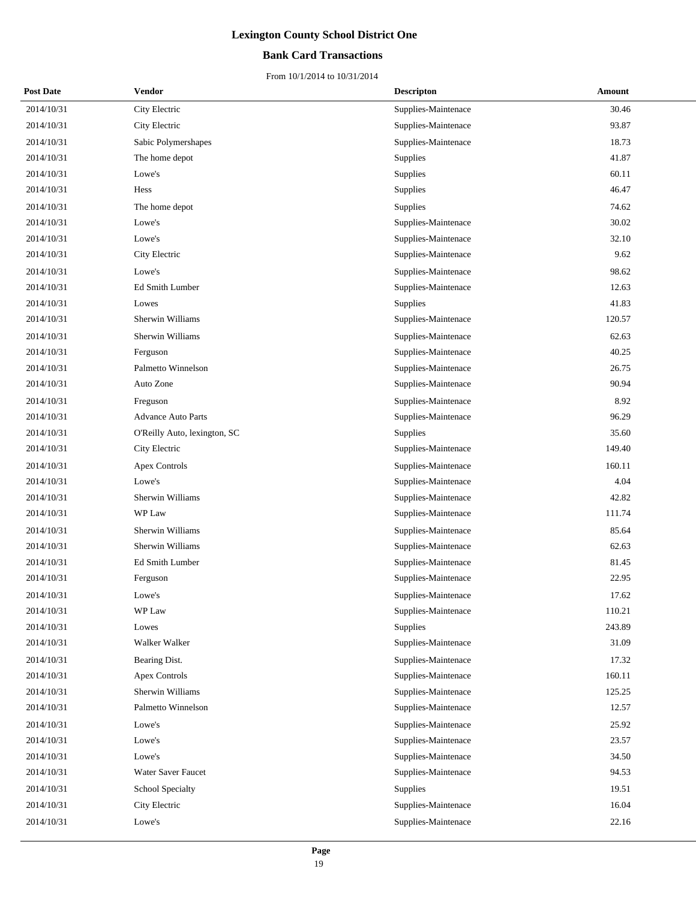#### **Bank Card Transactions**

| <b>Post Date</b> | Vendor                       | <b>Descripton</b>   | Amount |
|------------------|------------------------------|---------------------|--------|
| 2014/10/31       | City Electric                | Supplies-Maintenace | 30.46  |
| 2014/10/31       | City Electric                | Supplies-Maintenace | 93.87  |
| 2014/10/31       | Sabic Polymershapes          | Supplies-Maintenace | 18.73  |
| 2014/10/31       | The home depot               | Supplies            | 41.87  |
| 2014/10/31       | Lowe's                       | Supplies            | 60.11  |
| 2014/10/31       | Hess                         | Supplies            | 46.47  |
| 2014/10/31       | The home depot               | Supplies            | 74.62  |
| 2014/10/31       | Lowe's                       | Supplies-Maintenace | 30.02  |
| 2014/10/31       | Lowe's                       | Supplies-Maintenace | 32.10  |
| 2014/10/31       | City Electric                | Supplies-Maintenace | 9.62   |
| 2014/10/31       | Lowe's                       | Supplies-Maintenace | 98.62  |
| 2014/10/31       | Ed Smith Lumber              | Supplies-Maintenace | 12.63  |
| 2014/10/31       | Lowes                        | Supplies            | 41.83  |
| 2014/10/31       | Sherwin Williams             | Supplies-Maintenace | 120.57 |
| 2014/10/31       | Sherwin Williams             | Supplies-Maintenace | 62.63  |
| 2014/10/31       | Ferguson                     | Supplies-Maintenace | 40.25  |
| 2014/10/31       | Palmetto Winnelson           | Supplies-Maintenace | 26.75  |
| 2014/10/31       | Auto Zone                    | Supplies-Maintenace | 90.94  |
| 2014/10/31       | Freguson                     | Supplies-Maintenace | 8.92   |
| 2014/10/31       | <b>Advance Auto Parts</b>    | Supplies-Maintenace | 96.29  |
| 2014/10/31       | O'Reilly Auto, lexington, SC | Supplies            | 35.60  |
| 2014/10/31       | City Electric                | Supplies-Maintenace | 149.40 |
| 2014/10/31       | <b>Apex Controls</b>         | Supplies-Maintenace | 160.11 |
| 2014/10/31       | Lowe's                       | Supplies-Maintenace | 4.04   |
| 2014/10/31       | Sherwin Williams             | Supplies-Maintenace | 42.82  |
| 2014/10/31       | WP Law                       | Supplies-Maintenace | 111.74 |
| 2014/10/31       | Sherwin Williams             | Supplies-Maintenace | 85.64  |
| 2014/10/31       | Sherwin Williams             | Supplies-Maintenace | 62.63  |
| 2014/10/31       | Ed Smith Lumber              | Supplies-Maintenace | 81.45  |
| 2014/10/31       | Ferguson                     | Supplies-Maintenace | 22.95  |
| 2014/10/31       | Lowe's                       | Supplies-Maintenace | 17.62  |
| 2014/10/31       | WP Law                       | Supplies-Maintenace | 110.21 |
| 2014/10/31       | Lowes                        | <b>Supplies</b>     | 243.89 |
| 2014/10/31       | Walker Walker                | Supplies-Maintenace | 31.09  |
| 2014/10/31       | Bearing Dist.                | Supplies-Maintenace | 17.32  |
| 2014/10/31       | <b>Apex Controls</b>         | Supplies-Maintenace | 160.11 |
| 2014/10/31       | Sherwin Williams             | Supplies-Maintenace | 125.25 |
| 2014/10/31       | Palmetto Winnelson           | Supplies-Maintenace | 12.57  |
| 2014/10/31       | Lowe's                       | Supplies-Maintenace | 25.92  |
| 2014/10/31       | Lowe's                       | Supplies-Maintenace | 23.57  |
| 2014/10/31       | Lowe's                       | Supplies-Maintenace | 34.50  |
| 2014/10/31       | Water Saver Faucet           | Supplies-Maintenace | 94.53  |
| 2014/10/31       | School Specialty             | Supplies            | 19.51  |
| 2014/10/31       | City Electric                | Supplies-Maintenace | 16.04  |
| 2014/10/31       | Lowe's                       | Supplies-Maintenace | 22.16  |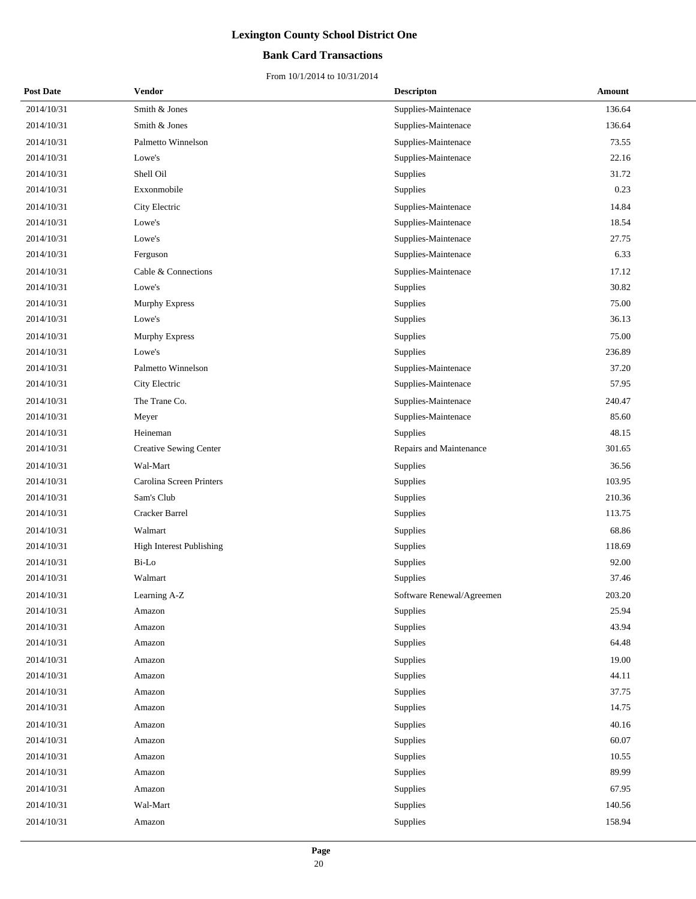#### **Bank Card Transactions**

| <b>Post Date</b> | Vendor                          | <b>Descripton</b>         | Amount |
|------------------|---------------------------------|---------------------------|--------|
| 2014/10/31       | Smith & Jones                   | Supplies-Maintenace       | 136.64 |
| 2014/10/31       | Smith & Jones                   | Supplies-Maintenace       | 136.64 |
| 2014/10/31       | Palmetto Winnelson              | Supplies-Maintenace       | 73.55  |
| 2014/10/31       | Lowe's                          | Supplies-Maintenace       | 22.16  |
| 2014/10/31       | Shell Oil                       | Supplies                  | 31.72  |
| 2014/10/31       | Exxonmobile                     | Supplies                  | 0.23   |
| 2014/10/31       | City Electric                   | Supplies-Maintenace       | 14.84  |
| 2014/10/31       | Lowe's                          | Supplies-Maintenace       | 18.54  |
| 2014/10/31       | Lowe's                          | Supplies-Maintenace       | 27.75  |
| 2014/10/31       | Ferguson                        | Supplies-Maintenace       | 6.33   |
| 2014/10/31       | Cable & Connections             | Supplies-Maintenace       | 17.12  |
| 2014/10/31       | Lowe's                          | Supplies                  | 30.82  |
| 2014/10/31       | Murphy Express                  | Supplies                  | 75.00  |
| 2014/10/31       | Lowe's                          | Supplies                  | 36.13  |
| 2014/10/31       | Murphy Express                  | Supplies                  | 75.00  |
| 2014/10/31       | Lowe's                          | Supplies                  | 236.89 |
| 2014/10/31       | Palmetto Winnelson              | Supplies-Maintenace       | 37.20  |
| 2014/10/31       | City Electric                   | Supplies-Maintenace       | 57.95  |
| 2014/10/31       | The Trane Co.                   | Supplies-Maintenace       | 240.47 |
| 2014/10/31       | Meyer                           | Supplies-Maintenace       | 85.60  |
| 2014/10/31       | Heineman                        | Supplies                  | 48.15  |
| 2014/10/31       | <b>Creative Sewing Center</b>   | Repairs and Maintenance   | 301.65 |
| 2014/10/31       | Wal-Mart                        | Supplies                  | 36.56  |
| 2014/10/31       | Carolina Screen Printers        | Supplies                  | 103.95 |
| 2014/10/31       | Sam's Club                      | Supplies                  | 210.36 |
| 2014/10/31       | Cracker Barrel                  | Supplies                  | 113.75 |
| 2014/10/31       | Walmart                         | Supplies                  | 68.86  |
| 2014/10/31       | <b>High Interest Publishing</b> | Supplies                  | 118.69 |
| 2014/10/31       | Bi-Lo                           | Supplies                  | 92.00  |
| 2014/10/31       | Walmart                         | Supplies                  | 37.46  |
| 2014/10/31       | Learning A-Z                    | Software Renewal/Agreemen | 203.20 |
| 2014/10/31       | Amazon                          | Supplies                  | 25.94  |
| 2014/10/31       | Amazon                          | Supplies                  | 43.94  |
| 2014/10/31       | Amazon                          | Supplies                  | 64.48  |
| 2014/10/31       | Amazon                          | Supplies                  | 19.00  |
| 2014/10/31       | Amazon                          | Supplies                  | 44.11  |
| 2014/10/31       | Amazon                          | Supplies                  | 37.75  |
| 2014/10/31       | Amazon                          | Supplies                  | 14.75  |
| 2014/10/31       | Amazon                          | Supplies                  | 40.16  |
| 2014/10/31       | Amazon                          | Supplies                  | 60.07  |
| 2014/10/31       | Amazon                          | Supplies                  | 10.55  |
| 2014/10/31       | Amazon                          | Supplies                  | 89.99  |
| 2014/10/31       | Amazon                          | Supplies                  | 67.95  |
| 2014/10/31       | Wal-Mart                        | Supplies                  | 140.56 |
| 2014/10/31       | Amazon                          | Supplies                  | 158.94 |
|                  |                                 |                           |        |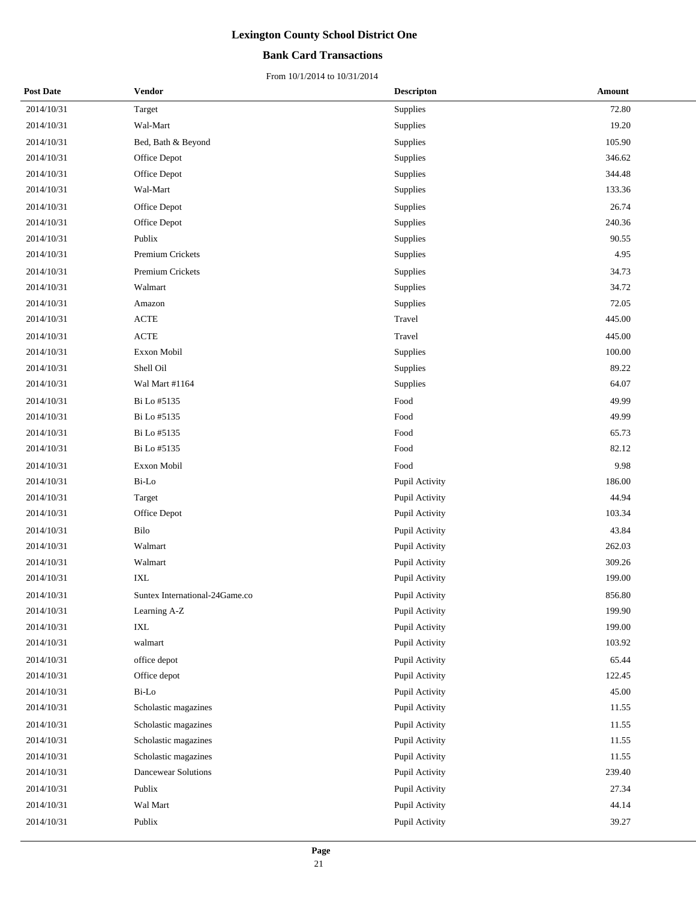#### **Bank Card Transactions**

| <b>Post Date</b> | Vendor                         | <b>Descripton</b> | Amount |
|------------------|--------------------------------|-------------------|--------|
| 2014/10/31       | Target                         | Supplies          | 72.80  |
| 2014/10/31       | Wal-Mart                       | Supplies          | 19.20  |
| 2014/10/31       | Bed, Bath & Beyond             | Supplies          | 105.90 |
| 2014/10/31       | Office Depot                   | Supplies          | 346.62 |
| 2014/10/31       | Office Depot                   | Supplies          | 344.48 |
| 2014/10/31       | Wal-Mart                       | Supplies          | 133.36 |
| 2014/10/31       | Office Depot                   | Supplies          | 26.74  |
| 2014/10/31       | Office Depot                   | Supplies          | 240.36 |
| 2014/10/31       | Publix                         | Supplies          | 90.55  |
| 2014/10/31       | Premium Crickets               | Supplies          | 4.95   |
| 2014/10/31       | Premium Crickets               | Supplies          | 34.73  |
| 2014/10/31       | Walmart                        | Supplies          | 34.72  |
| 2014/10/31       | Amazon                         | Supplies          | 72.05  |
| 2014/10/31       | $\operatorname{ACTE}$          | Travel            | 445.00 |
| 2014/10/31       | $\operatorname{ACTE}$          | Travel            | 445.00 |
| 2014/10/31       | Exxon Mobil                    | Supplies          | 100.00 |
| 2014/10/31       | Shell Oil                      | Supplies          | 89.22  |
| 2014/10/31       | Wal Mart #1164                 | Supplies          | 64.07  |
| 2014/10/31       | Bi Lo #5135                    | Food              | 49.99  |
| 2014/10/31       | Bi Lo #5135                    | Food              | 49.99  |
| 2014/10/31       | Bi Lo #5135                    | Food              | 65.73  |
| 2014/10/31       | Bi Lo #5135                    | Food              | 82.12  |
| 2014/10/31       | Exxon Mobil                    | Food              | 9.98   |
| 2014/10/31       | Bi-Lo                          | Pupil Activity    | 186.00 |
| 2014/10/31       | Target                         | Pupil Activity    | 44.94  |
| 2014/10/31       | Office Depot                   | Pupil Activity    | 103.34 |
| 2014/10/31       | Bilo                           | Pupil Activity    | 43.84  |
| 2014/10/31       | Walmart                        | Pupil Activity    | 262.03 |
| 2014/10/31       | Walmart                        | Pupil Activity    | 309.26 |
| 2014/10/31       | $\ensuremath{\text{IXL}}$      | Pupil Activity    | 199.00 |
| 2014/10/31       | Suntex International-24Game.co | Pupil Activity    | 856.80 |
| 2014/10/31       | Learning A-Z                   | Pupil Activity    | 199.90 |
| 2014/10/31       | IXL                            | Pupil Activity    | 199.00 |
| 2014/10/31       | walmart                        | Pupil Activity    | 103.92 |
| 2014/10/31       | office depot                   | Pupil Activity    | 65.44  |
| 2014/10/31       | Office depot                   | Pupil Activity    | 122.45 |
| 2014/10/31       | Bi-Lo                          | Pupil Activity    | 45.00  |
| 2014/10/31       | Scholastic magazines           | Pupil Activity    | 11.55  |
| 2014/10/31       | Scholastic magazines           | Pupil Activity    | 11.55  |
| 2014/10/31       | Scholastic magazines           | Pupil Activity    | 11.55  |
| 2014/10/31       | Scholastic magazines           | Pupil Activity    | 11.55  |
| 2014/10/31       | Dancewear Solutions            | Pupil Activity    | 239.40 |
| 2014/10/31       | Publix                         | Pupil Activity    | 27.34  |
| 2014/10/31       | Wal Mart                       | Pupil Activity    | 44.14  |
| 2014/10/31       | Publix                         | Pupil Activity    | 39.27  |
|                  |                                |                   |        |